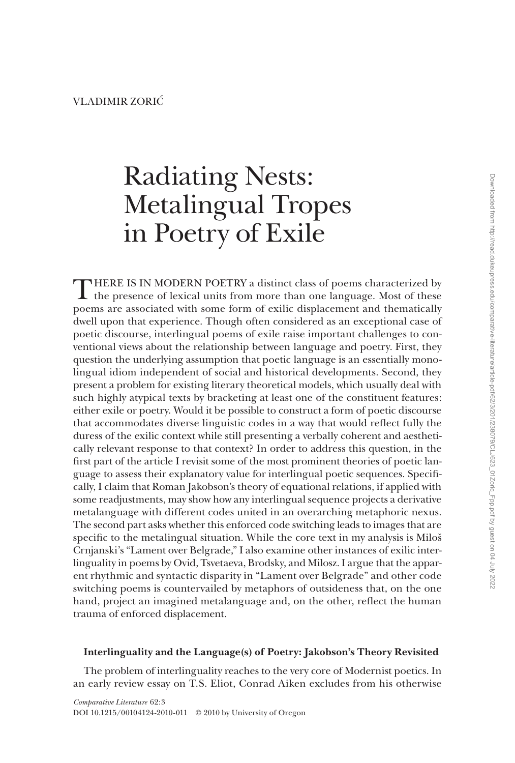# Radiating Nests: Metalingual Tropes in Poetry of Exile

THERE IS IN MODERN POETRY a distinct class of poems characterized by the presence of lexical units from more than one language. Most of these poems are associated with some form of exilic displacement and thematically dwell upon that experience. Though often considered as an exceptional case of poetic discourse, interlingual poems of exile raise important challenges to conventional views about the relationship between language and poetry. First, they question the underlying assumption that poetic language is an essentially monolingual idiom independent of social and historical developments. Second, they present a problem for existing literary theoretical models, which usually deal with such highly atypical texts by bracketing at least one of the constituent features: either exile or poetry. Would it be possible to construct a form of poetic discourse that accommodates diverse linguistic codes in a way that would reflect fully the duress of the exilic context while still presenting a verbally coherent and aesthetically relevant response to that context? In order to address this question, in the first part of the article I revisit some of the most prominent theories of poetic language to assess their explanatory value for interlingual poetic sequences. Specifically, I claim that Roman Jakobson's theory of equational relations, if applied with some readjustments, may show how any interlingual sequence projects a derivative metalanguage with different codes united in an overarching metaphoric nexus. The second part asks whether this enforced code switching leads to images that are specific to the metalingual situation. While the core text in my analysis is Miloš Crnjanski's "Lament over Belgrade," I also examine other instances of exilic interlinguality in poems by Ovid, Tsvetaeva, Brodsky, and Milosz. I argue that the apparent rhythmic and syntactic disparity in "Lament over Belgrade" and other code switching poems is countervailed by metaphors of outsideness that, on the one hand, project an imagined metalanguage and, on the other, reflect the human trauma of enforced displacement.

# **Interlinguality and the Language(s) of Poetry: Jakobson's Theory Revisited**

The problem of interlinguality reaches to the very core of Modernist poetics. In an early review essay on T.S. Eliot, Conrad Aiken excludes from his otherwise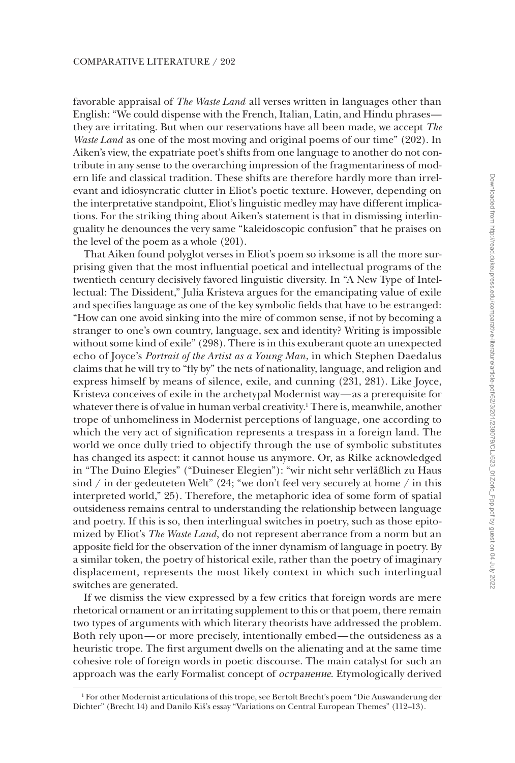favorable appraisal of *The Waste Land* all verses written in languages other than English: "We could dispense with the French, Italian, Latin, and Hindu phrases they are irritating. But when our reservations have all been made, we accept *The Waste Land* as one of the most moving and original poems of our time" (202). In Aiken's view, the expatriate poet's shifts from one language to another do not contribute in any sense to the overarching impression of the fragmentariness of modern life and classical tradition. These shifts are therefore hardly more than irrelevant and idiosyncratic clutter in Eliot's poetic texture. However, depending on the interpretative standpoint, Eliot's linguistic medley may have different implications. For the striking thing about Aiken's statement is that in dismissing interlinguality he denounces the very same "kaleidoscopic confusion" that he praises on the level of the poem as a whole (201).

That Aiken found polyglot verses in Eliot's poem so irksome is all the more surprising given that the most influential poetical and intellectual programs of the twentieth century decisively favored linguistic diversity. In "A New Type of Intellectual: The Dissident," Julia Kristeva argues for the emancipating value of exile and specifies language as one of the key symbolic fields that have to be estranged: "How can one avoid sinking into the mire of common sense, if not by becoming a stranger to one's own country, language, sex and identity? Writing is impossible without some kind of exile" (298). There is in this exuberant quote an unexpected echo of Joyce's *Portrait of the Artist as a Young Man*, in which Stephen Daedalus claims that he will try to "fly by" the nets of nationality, language, and religion and express himself by means of silence, exile, and cunning (231, 281). Like Joyce, Kristeva conceives of exile in the archetypal Modernist way—as a prerequisite for whatever there is of value in human verbal creativity.<sup>1</sup> There is, meanwhile, another trope of unhomeliness in Modernist perceptions of language, one according to which the very act of signification represents a trespass in a foreign land. The world we once dully tried to objectify through the use of symbolic substitutes has changed its aspect: it cannot house us anymore. Or, as Rilke acknowledged in "The Duino Elegies" ("Duineser Elegien"): "wir nicht sehr verläßlich zu Haus sind / in der gedeuteten Welt" (24; "we don't feel very securely at home / in this interpreted world," 25). Therefore, the metaphoric idea of some form of spatial outsideness remains central to understanding the relationship between language and poetry. If this is so, then interlingual switches in poetry, such as those epitomized by Eliot's *The Waste Land*, do not represent aberrance from a norm but an apposite field for the observation of the inner dynamism of language in poetry. By a similar token, the poetry of historical exile, rather than the poetry of imaginary displacement, represents the most likely context in which such interlingual switches are generated.

If we dismiss the view expressed by a few critics that foreign words are mere rhetorical ornament or an irritating supplement to this or that poem, there remain two types of arguments with which literary theorists have addressed the problem. Both rely upon—or more precisely, intentionally embed—the outsideness as a heuristic trope. The first argument dwells on the alienating and at the same time cohesive role of foreign words in poetic discourse. The main catalyst for such an approach was the early Formalist concept of остранение. Etymologically derived

<sup>1</sup> For other Modernist articulations of this trope, see Bertolt Brecht's poem "Die Auswanderung der Dichter" (Brecht 14) and Danilo Kiš's essay "Variations on Central European Themes" (112–13).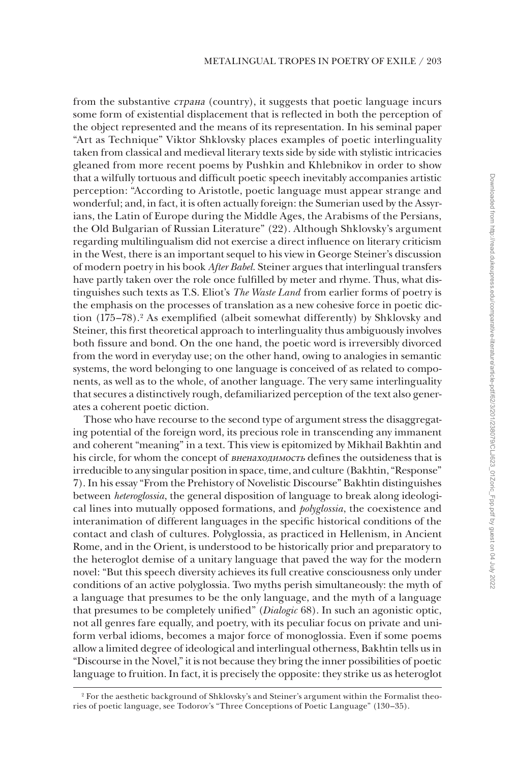from the substantive страна (country), it suggests that poetic language incurs some form of existential displacement that is reflected in both the perception of the object represented and the means of its representation. In his seminal paper "Art as Technique" Viktor Shklovsky places examples of poetic interlinguality taken from classical and medieval literary texts side by side with stylistic intricacies gleaned from more recent poems by Pushkin and Khlebnikov in order to show that a wilfully tortuous and difficult poetic speech inevitably accompanies artistic perception: "According to Aristotle, poetic language must appear strange and wonderful; and, in fact, it is often actually foreign: the Sumerian used by the Assyrians, the Latin of Europe during the Middle Ages, the Arabisms of the Persians, the Old Bulgarian of Russian Literature" (22). Although Shklovsky's argument regarding multilingualism did not exercise a direct influence on literary criticism in the West, there is an important sequel to his view in George Steiner's discussion of modern poetry in his book *After Babel*. Steiner argues that interlingual transfers have partly taken over the role once fulfilled by meter and rhyme. Thus, what distinguishes such texts as T.S. Eliot's *The Waste Land* from earlier forms of poetry is the emphasis on the processes of translation as a new cohesive force in poetic diction (175–78).<sup>2</sup> As exemplified (albeit somewhat differently) by Shklovsky and Steiner, this first theoretical approach to interlinguality thus ambiguously involves both fissure and bond. On the one hand, the poetic word is irreversibly divorced from the word in everyday use; on the other hand, owing to analogies in semantic systems, the word belonging to one language is conceived of as related to components, as well as to the whole, of another language. The very same interlinguality that secures a distinctively rough, defamiliarized perception of the text also generates a coherent poetic diction.

Those who have recourse to the second type of argument stress the disaggregating potential of the foreign word, its precious role in transcending any immanent and coherent "meaning" in a text. This view is epitomized by Mikhail Bakhtin and his circle, for whom the concept of вненаходимость defines the outsideness that is irreducible to any singular position in space, time, and culture (Bakhtin, "Response" 7). In his essay "From the Prehistory of Novelistic Discourse" Bakhtin distinguishes between *heteroglossia*, the general disposition of language to break along ideological lines into mutually opposed formations, and *polyglossia*, the coexistence and interanimation of different languages in the specific historical conditions of the contact and clash of cultures. Polyglossia, as practiced in Hellenism, in Ancient Rome, and in the Orient, is understood to be historically prior and preparatory to the heteroglot demise of a unitary language that paved the way for the modern novel: "But this speech diversity achieves its full creative consciousness only under conditions of an active polyglossia. Two myths perish simultaneously: the myth of a language that presumes to be the only language, and the myth of a language that presumes to be completely unified" (*Dialogic* 68). In such an agonistic optic, not all genres fare equally, and poetry, with its peculiar focus on private and uniform verbal idioms, becomes a major force of monoglossia. Even if some poems allow a limited degree of ideological and interlingual otherness, Bakhtin tells us in "Discourse in the Novel," it is not because they bring the inner possibilities of poetic language to fruition. In fact, it is precisely the opposite: they strike us as heteroglot

<sup>&</sup>lt;sup>2</sup> For the aesthetic background of Shklovsky's and Steiner's argument within the Formalist theories of poetic language, see Todorov's "Three Conceptions of Poetic Language" (130–35).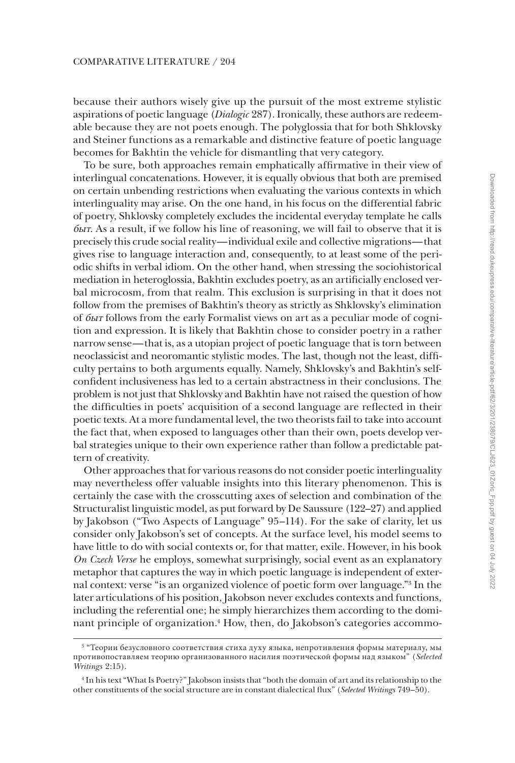because their authors wisely give up the pursuit of the most extreme stylistic aspirations of poetic language (*Dialogic* 287). Ironically, these authors are redeemable because they are not poets enough. The polyglossia that for both Shklovsky and Steiner functions as a remarkable and distinctive feature of poetic language becomes for Bakhtin the vehicle for dismantling that very category.

To be sure, both approaches remain emphatically affirmative in their view of interlingual concatenations. However, it is equally obvious that both are premised on certain unbending restrictions when evaluating the various contexts in which interlinguality may arise. On the one hand, in his focus on the differential fabric of poetry, Shklovsky completely excludes the incidental everyday template he calls быт. As a result, if we follow his line of reasoning, we will fail to observe that it is precisely this crude social reality—individual exile and collective migrations—that gives rise to language interaction and, consequently, to at least some of the periodic shifts in verbal idiom. On the other hand, when stressing the sociohistorical mediation in heteroglossia, Bakhtin excludes poetry, as an artificially enclosed verbal microcosm, from that realm. This exclusion is surprising in that it does not follow from the premises of Bakhtin's theory as strictly as Shklovsky's elimination of быт follows from the early Formalist views on art as a peculiar mode of cognition and expression. It is likely that Bakhtin chose to consider poetry in a rather narrow sense—that is, as a utopian project of poetic language that is torn between neoclassicist and neoromantic stylistic modes. The last, though not the least, difficulty pertains to both arguments equally. Namely, Shklovsky's and Bakhtin's selfconfident inclusiveness has led to a certain abstractness in their conclusions. The problem is not just that Shklovsky and Bakhtin have not raised the question of how the difficulties in poets' acquisition of a second language are reflected in their poetic texts. At a more fundamental level, the two theorists fail to take into account the fact that, when exposed to languages other than their own, poets develop verbal strategies unique to their own experience rather than follow a predictable pattern of creativity.

Other approaches that for various reasons do not consider poetic interlinguality may nevertheless offer valuable insights into this literary phenomenon. This is certainly the case with the crosscutting axes of selection and combination of the Structuralist linguistic model, as put forward by De Saussure (122–27) and applied by Jakobson ("Two Aspects of Language" 95–114). For the sake of clarity, let us consider only Jakobson's set of concepts. At the surface level, his model seems to have little to do with social contexts or, for that matter, exile. However, in his book *On Czech Verse* he employs, somewhat surprisingly, social event as an explanatory metaphor that captures the way in which poetic language is independent of external context: verse "is an organized violence of poetic form over language."3 In the later articulations of his position, Jakobson never excludes contexts and functions, including the referential one; he simply hierarchizes them according to the dominant principle of organization.<sup>4</sup> How, then, do Jakobson's categories accommo-

<sup>&</sup>lt;sup>3</sup> "Теории безусловного соответствия стиха духу языка, непротивления формы материалу, мы противопоставляем теорию организованного насилия поэтической формы над языком" (*Selected Writings* 2:15).

<sup>4</sup> In his text "What Is Poetry?" Jakobson insists that "both the domain of art and its relationship to the other constituents of the social structure are in constant dialectical flux" (*Selected Writings* 749–50).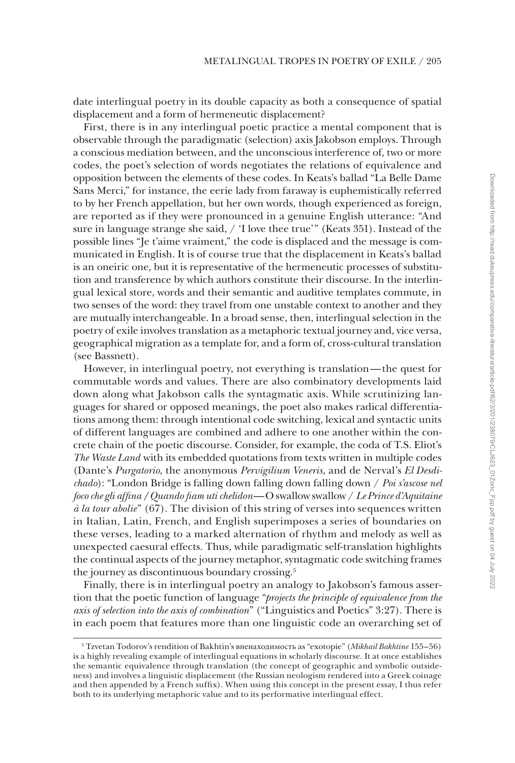date interlingual poetry in its double capacity as both a consequence of spatial displacement and a form of hermeneutic displacement?

First, there is in any interlingual poetic practice a mental component that is observable through the paradigmatic (selection) axis Jakobson employs. Through a conscious mediation between, and the unconscious interference of, two or more codes, the poet's selection of words negotiates the relations of equivalence and opposition between the elements of these codes. In Keats's ballad "La Belle Dame Sans Merci," for instance, the eerie lady from faraway is euphemistically referred to by her French appellation, but her own words, though experienced as foreign, are reported as if they were pronounced in a genuine English utterance: "And sure in language strange she said, / 'I love thee true'" (Keats 351). Instead of the possible lines "Je t'aime vraiment," the code is displaced and the message is communicated in English. It is of course true that the displacement in Keats's ballad is an oneiric one, but it is representative of the hermeneutic processes of substitution and transference by which authors constitute their discourse. In the interlingual lexical store, words and their semantic and auditive templates commute, in two senses of the word: they travel from one unstable context to another and they are mutually interchangeable. In a broad sense, then, interlingual selection in the poetry of exile involves translation as a metaphoric textual journey and, vice versa, geographical migration as a template for, and a form of, cross-cultural translation (see Bassnett).

However, in interlingual poetry, not everything is translation—the quest for commutable words and values. There are also combinatory developments laid down along what Jakobson calls the syntagmatic axis. While scrutinizing languages for shared or opposed meanings, the poet also makes radical differentiations among them: through intentional code switching, lexical and syntactic units of different languages are combined and adhere to one another within the concrete chain of the poetic discourse. Consider, for example, the coda of T.S. Eliot's *The Waste Land* with its embedded quotations from texts written in multiple codes (Dante's *Purgatorio*, the anonymous *Pervigilium Veneris*, and de Nerval's *El Desdichado*): "London Bridge is falling down falling down falling down / *Poi s'ascose nel foco che gli affina / Quando fiam uti chelidon*—O swallow swallow / *Le Prince d'Aquitaine à la tour abolie*" (67). The division of this string of verses into sequences written in Italian, Latin, French, and English superimposes a series of boundaries on these verses, leading to a marked alternation of rhythm and melody as well as unexpected caesural effects. Thus, while paradigmatic self-translation highlights the continual aspects of the journey metaphor, syntagmatic code switching frames the journey as discontinuous boundary crossing.<sup>5</sup>

Finally, there is in interlingual poetry an analogy to Jakobson's famous assertion that the poetic function of language "*projects the principle of equivalence from the axis of selection into the axis of combination*" ("Linguistics and Poetics" 3:27). There is in each poem that features more than one linguistic code an overarching set of

<sup>5</sup> Tzvetan Todorov's rendition of Bakhtin's вненаходимость as "exotopie" (*Mikhail Bakhtine* 155–56) is a highly revealing example of interlingual equations in scholarly discourse. It at once establishes the semantic equivalence through translation (the concept of geographic and symbolic outsideness) and involves a linguistic displacement (the Russian neologism rendered into a Greek coinage and then appended by a French suffix). When using this concept in the present essay, I thus refer both to its underlying metaphoric value and to its performative interlingual effect.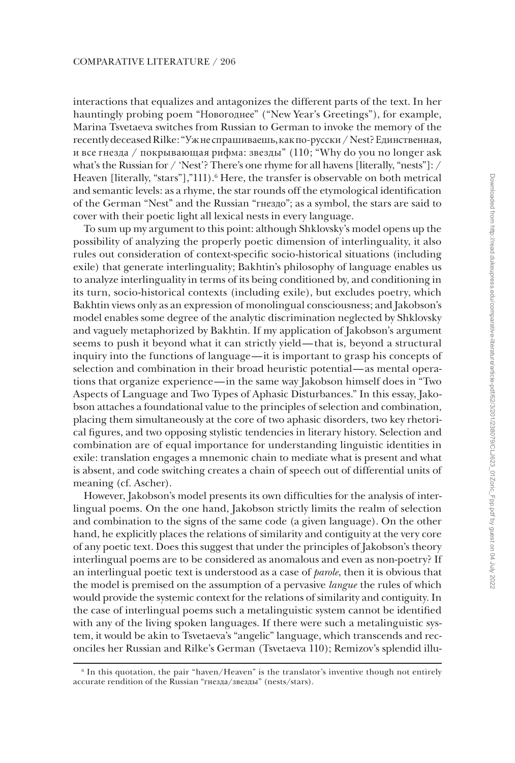interactions that equalizes and antagonizes the different parts of the text. In her hauntingly probing poem "Новогоднее" ("New Year's Greetings"), for example, Marina Tsvetaeva switches from Russian to German to invoke the memory of the recently deceased Rilke: "Уж не спрашиваешь, как по-русски / Nest? Единственная, и все гнезда / покрывающая рифма: звезды" (110; "Why do you no longer ask what's the Russian for / 'Nest'? There's one rhyme for all havens [literally, "nests"]: / Heaven [literally, "stars"],"111).<sup>6</sup> Here, the transfer is observable on both metrical and semantic levels: as a rhyme, the star rounds off the etymological identification of the German "Nest" and the Russian "гнездо"; as a symbol, the stars are said to cover with their poetic light all lexical nests in every language.

To sum up my argument to this point: although Shklovsky's model opens up the possibility of analyzing the properly poetic dimension of interlinguality, it also rules out consideration of context-specific socio-historical situations (including exile) that generate interlinguality; Bakhtin's philosophy of language enables us to analyze interlinguality in terms of its being conditioned by, and conditioning in its turn, socio-historical contexts (including exile), but excludes poetry, which Bakhtin views only as an expression of monolingual consciousness; and Jakobson's model enables some degree of the analytic discrimination neglected by Shklovsky and vaguely metaphorized by Bakhtin. If my application of Jakobson's argument seems to push it beyond what it can strictly yield—that is, beyond a structural inquiry into the functions of language—it is important to grasp his concepts of selection and combination in their broad heuristic potential—as mental operations that organize experience—in the same way Jakobson himself does in "Two Aspects of Language and Two Types of Aphasic Disturbances." In this essay, Jakobson attaches a foundational value to the principles of selection and combination, placing them simultaneously at the core of two aphasic disorders, two key rhetorical figures, and two opposing stylistic tendencies in literary history. Selection and combination are of equal importance for understanding linguistic identities in exile: translation engages a mnemonic chain to mediate what is present and what is absent, and code switching creates a chain of speech out of differential units of meaning (cf. Ascher).

However, Jakobson's model presents its own difficulties for the analysis of interlingual poems. On the one hand, Jakobson strictly limits the realm of selection and combination to the signs of the same code (a given language). On the other hand, he explicitly places the relations of similarity and contiguity at the very core of any poetic text. Does this suggest that under the principles of Jakobson's theory interlingual poems are to be considered as anomalous and even as non-poetry? If an interlingual poetic text is understood as a case of *parole*, then it is obvious that the model is premised on the assumption of a pervasive *langue* the rules of which would provide the systemic context for the relations of similarity and contiguity. In the case of interlingual poems such a metalinguistic system cannot be identified with any of the living spoken languages. If there were such a metalinguistic system, it would be akin to Tsvetaeva's "angelic" language, which transcends and reconciles her Russian and Rilke's German (Tsvetaeva 110); Remizov's splendid illu-

<sup>6</sup> In this quotation, the pair "haven/Heaven" is the translator's inventive though not entirely accurate rendition of the Russian "гнезда/звезды" (nests/stars).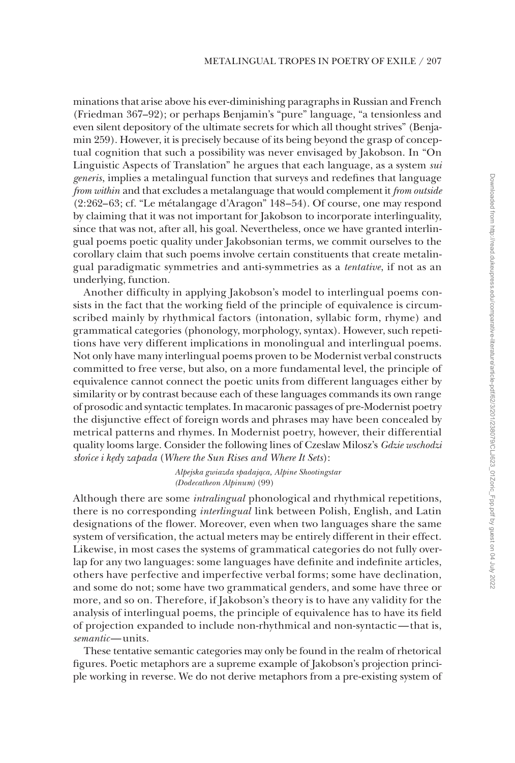minations that arise above his ever-diminishing paragraphs in Russian and French (Friedman 367–92); or perhaps Benjamin's "pure" language, "a tensionless and even silent depository of the ultimate secrets for which all thought strives" (Benjamin 259). However, it is precisely because of its being beyond the grasp of conceptual cognition that such a possibility was never envisaged by Jakobson. In "On Linguistic Aspects of Translation" he argues that each language, as a system *sui generis*, implies a metalingual function that surveys and redefines that language *from within* and that excludes a metalanguage that would complement it *from outside* (2:262–63; cf. "Le métalangage d'Aragon" 148–54). Of course, one may respond by claiming that it was not important for Jakobson to incorporate interlinguality, since that was not, after all, his goal. Nevertheless, once we have granted interlingual poems poetic quality under Jakobsonian terms, we commit ourselves to the corollary claim that such poems involve certain constituents that create metalingual paradigmatic symmetries and anti-symmetries as a *tentative*, if not as an underlying, function.

Another difficulty in applying Jakobson's model to interlingual poems consists in the fact that the working field of the principle of equivalence is circumscribed mainly by rhythmical factors (intonation, syllabic form, rhyme) and grammatical categories (phonology, morphology, syntax). However, such repetitions have very different implications in monolingual and interlingual poems. Not only have many interlingual poems proven to be Modernist verbal constructs committed to free verse, but also, on a more fundamental level, the principle of equivalence cannot connect the poetic units from different languages either by similarity or by contrast because each of these languages commands its own range of prosodic and syntactic templates. In macaronic passages of pre-Modernist poetry the disjunctive effect of foreign words and phrases may have been concealed by metrical patterns and rhymes. In Modernist poetry, however, their differential quality looms large. Consider the following lines of Czeslaw Milosz's *Gdzie wschodzi słon´ce i ke˛dy zapada* (*Where the Sun Rises and Where It Sets*):

#### *Alpejska gwiazda spadaja˛ca, Alpine Shootingstar (Dodecatheon Alpinum)* (99)

Although there are some *intralingual* phonological and rhythmical repetitions, there is no corresponding *interlingual* link between Polish, English, and Latin designations of the flower. Moreover, even when two languages share the same system of versification, the actual meters may be entirely different in their effect. Likewise, in most cases the systems of grammatical categories do not fully overlap for any two languages: some languages have definite and indefinite articles, others have perfective and imperfective verbal forms; some have declination, and some do not; some have two grammatical genders, and some have three or more, and so on. Therefore, if Jakobson's theory is to have any validity for the analysis of interlingual poems, the principle of equivalence has to have its field of projection expanded to include non-rhythmical and non-syntactic—that is, *semantic*—units.

These tentative semantic categories may only be found in the realm of rhetorical figures. Poetic metaphors are a supreme example of Jakobson's projection principle working in reverse. We do not derive metaphors from a pre-existing system of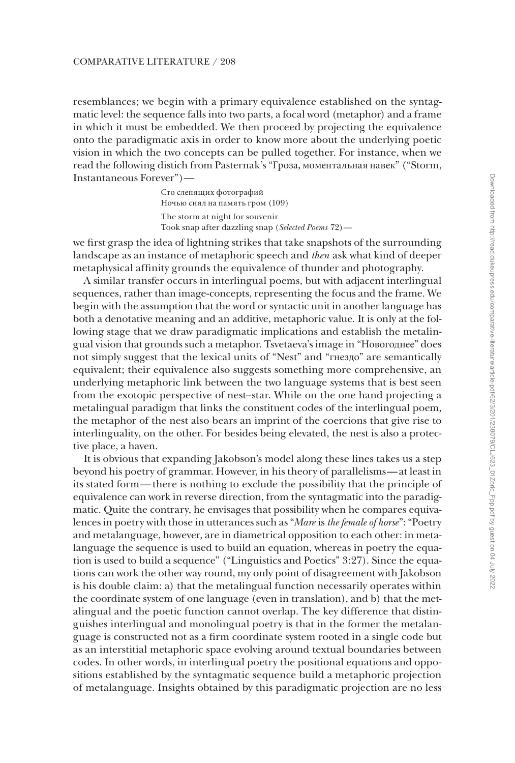resemblances; we begin with a primary equivalence established on the syntagmatic level: the sequence falls into two parts, a focal word (metaphor) and a frame in which it must be embedded. We then proceed by projecting the equivalence onto the paradigmatic axis in order to know more about the underlying poetic vision in which the two concepts can be pulled together. For instance, when we read the following distich from Pasternak's "Гроза, моментальная навек" ("Storm, Instantaneous Forever")—

> Сто слепящих фотографий Ночью снял на память гром (109) The storm at night for souvenir Took snap after dazzling snap (*Selected Poems* 72)—

we first grasp the idea of lightning strikes that take snapshots of the surrounding landscape as an instance of metaphoric speech and *then* ask what kind of deeper metaphysical affinity grounds the equivalence of thunder and photography.

A similar transfer occurs in interlingual poems, but with adjacent interlingual sequences, rather than image-concepts, representing the focus and the frame. We begin with the assumption that the word or syntactic unit in another language has both a denotative meaning and an additive, metaphoric value. It is only at the following stage that we draw paradigmatic implications and establish the metalingual vision that grounds such a metaphor. Tsvetaeva's image in "Новогоднее" does not simply suggest that the lexical units of "Nest" and "гнездо" are semantically equivalent; their equivalence also suggests something more comprehensive, an underlying metaphoric link between the two language systems that is best seen from the exotopic perspective of nest–star. While on the one hand projecting a metalingual paradigm that links the constituent codes of the interlingual poem, the metaphor of the nest also bears an imprint of the coercions that give rise to interlinguality, on the other. For besides being elevated, the nest is also a protective place, a haven.

It is obvious that expanding Jakobson's model along these lines takes us a step beyond his poetry of grammar. However, in his theory of parallelisms—at least in its stated form—there is nothing to exclude the possibility that the principle of equivalence can work in reverse direction, from the syntagmatic into the paradigmatic. Quite the contrary, he envisages that possibility when he compares equivalences in poetry with those in utterances such as "*Mare* is *the female of horse*": "Poetry and metalanguage, however, are in diametrical opposition to each other: in metalanguage the sequence is used to build an equation, whereas in poetry the equation is used to build a sequence" ("Linguistics and Poetics" 3:27). Since the equations can work the other way round, my only point of disagreement with Jakobson is his double claim: a) that the metalingual function necessarily operates within the coordinate system of one language (even in translation), and b) that the metalingual and the poetic function cannot overlap. The key difference that distinguishes interlingual and monolingual poetry is that in the former the metalanguage is constructed not as a firm coordinate system rooted in a single code but as an interstitial metaphoric space evolving around textual boundaries between codes. In other words, in interlingual poetry the positional equations and oppositions established by the syntagmatic sequence build a metaphoric projection of metalanguage. Insights obtained by this paradigmatic projection are no less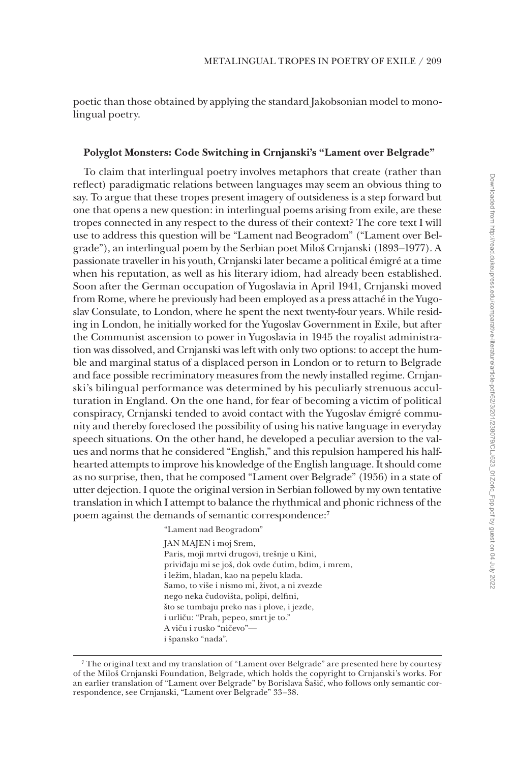poetic than those obtained by applying the standard Jakobsonian model to monolingual poetry.

# **Polyglot Monsters: Code Switching in Crnjanski's "Lament over Belgrade"**

To claim that interlingual poetry involves metaphors that create (rather than reflect) paradigmatic relations between languages may seem an obvious thing to say. To argue that these tropes present imagery of outsideness is a step forward but one that opens a new question: in interlingual poems arising from exile, are these tropes connected in any respect to the duress of their context? The core text I will use to address this question will be "Lament nad Beogradom" ("Lament over Belgrade"), an interlingual poem by the Serbian poet Miloš Crnjanski (1893–1977). A passionate traveller in his youth, Crnjanski later became a political émigré at a time when his reputation, as well as his literary idiom, had already been established. Soon after the German occupation of Yugoslavia in April 1941, Crnjanski moved from Rome, where he previously had been employed as a press attaché in the Yugoslav Consulate, to London, where he spent the next twenty-four years. While residing in London, he initially worked for the Yugoslav Government in Exile, but after the Communist ascension to power in Yugoslavia in 1945 the royalist administration was dissolved, and Crnjanski was left with only two options: to accept the humble and marginal status of a displaced person in London or to return to Belgrade and face possible recriminatory measures from the newly installed regime. Crnjanski's bilingual performance was determined by his peculiarly strenuous acculturation in England. On the one hand, for fear of becoming a victim of political conspiracy, Crnjanski tended to avoid contact with the Yugoslav émigré community and thereby foreclosed the possibility of using his native language in everyday speech situations. On the other hand, he developed a peculiar aversion to the values and norms that he considered "English," and this repulsion hampered his halfhearted attempts to improve his knowledge of the English language. It should come as no surprise, then, that he composed "Lament over Belgrade" (1956) in a state of utter dejection. I quote the original version in Serbian followed by my own tentative translation in which I attempt to balance the rhythmical and phonic richness of the poem against the demands of semantic correspondence:7

> "Lament nad Beogradom" JAN MAJEN i moj Srem, Paris, moji mrtvi drugovi, trešnje u Kini, priviđaju mi se još, dok ovde ćutim, bdim, i mrem, i ležim, hladan, kao na pepelu klada. Samo, to više i nismo mi, život, a ni zvezde nego neka čudovišta, polipi, delfini, što se tumbaju preko nas i plove, i jezde, i urliču: "Prah, pepeo, smrt je to." A viču i rusko "ničevo" i špansko "nada".

<sup>7</sup> The original text and my translation of "Lament over Belgrade" are presented here by courtesy of the Miloš Crnjanski Foundation, Belgrade, which holds the copyright to Crnjanski's works. For an earlier translation of "Lament over Belgrade" by Borislava Šašić, who follows only semantic correspondence, see Crnjanski, "Lament over Belgrade" 33–38.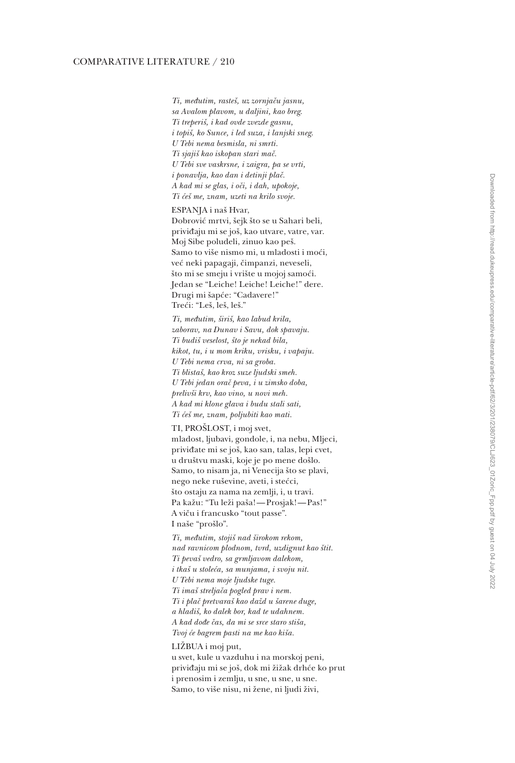$Ti, međutim, rasteš, uz zornjaču jasnu,$ *sa Avalom plavom, u daljini, kao breg. Ti treperiš, i kad ovde zvezde gasnu, i topiš, ko Sunce, i led suza, i lanjski sneg. U Tebi nema besmisla, ni smrti. Ti sjajiš kao iskopan stari macˇ. U Tebi sve vaskrsne, i zaigra, pa se vrti, i ponavlja, kao dan i detinji placˇ. A kad mi se glas, i ocˇi, i dah, upokoje, Ti c´eš me, znam, uzeti na krilo svoje.*

#### ESPANJ A i naš Hvar,

Dobrovic´ mrtvi, šejk što se u Sahari beli, privid–aju mi se još, kao utvare, vatre, var. Moj Sibe poludeli, zinuo kao peš. Samo to više nismo mi, u mladosti i moći, već neki papagaji, čimpanzi, neveseli, što mi se smeju i vrište u mojoj samoći. Jedan se " Leiche! Leiche! Leiche!" dere. Drugi mi šapće: "Cadavere!" Treći: "Leš, leš, leš."

 $Ti, \textit{medium}, \textit{širiš}, \textit{kao} \textit{labud krila},$ *zaborav, na Dunav i Savu, dok spavaju. Ti budiš veselost, što je nekad bila, kikot, tu, i u mom kriku, vrisku, i vapaju. U Tebi nema crva, ni sa groba. Ti blistaš, kao kroz suze ljudski smeh. U Tebi jedan oracˇ peva, i u zimsko doba, prelivši krv, kao vino, u novi meh. A kad mi klone glava i budu stali sati, Ti c´eš me, znam, poljubiti kao mati.*

# TI, PROŠLOST, i moj svet,

mladost, ljubavi, gondole, i, na nebu, Mljeci, priviđate mi se još, kao san, talas, lepi cvet, u društvu maski, koje je po mene došlo. Samo, to nisam ja, ni Venecija što se plavi, nego neke ruševine, aveti, i stećci, što ostaju za nama na zemlji, i, u travi. Pa kažu: "Tu leži paša! —Prosjak! —Pas!" A viču i francusko "tout passe". I naše "prošlo".

 $Ti, međutim, stojiš nad širokom rekom,$ *nad ravnicom plodnom, tvrd, uzdignut kao štit. Ti pevaš vedro, sa grmljavom dalekom, i tkaš u stolec´a, sa munjama, i svoju nit. U Tebi nema moje ljudske tuge. Ti imaš streljacˇa pogled prav i nem. Ti i placˇ pretvaraš kao dažd u šarene duge, a hladiš, ko dalek bor, kad te udahnem. A kad do d– e cˇas, da mi se srce staro stiša, Tvoj c´e bagrem pasti na me kao kiša.* 

LIŽBUA i moj put, u svet, kule u vazduhu i na morskoj peni, priviđaju mi se još, dok mi žižak drhće ko prut i prenosim i zemlju, u sne, u sne, u sne. Samo, to više nisu, ni žene, ni ljudi živi,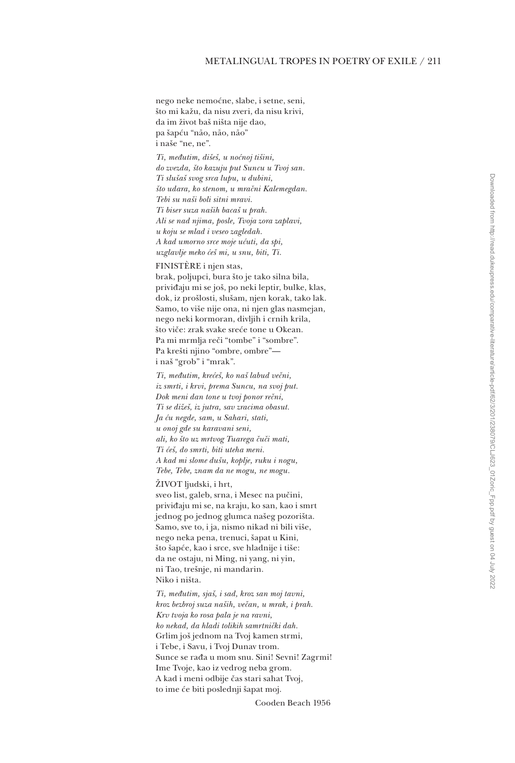nego neke nemoćne, slabe, i setne, seni, što mi kažu, da nisu zveri, da nisu krivi, da im život baš ništa nije dao, pa šapc´u "não, não, não" i naše "ne, ne".

*Ti, med – utim, dišeš, u noc´noj tišini, do zvezda, što kazuju put Suncu u Tvoj san. Ti slušaš svog srca lupu, u dubini, što udara, ko stenom, u mracˇni Kalemegdan. Tebi su naši boli sitni mravi. Ti biser suza naših bacaš u prah. Ali se nad njima, posle, Tvoja zora zaplavi, u koju se mlad i veseo zagledah. A kad umorno srce moje uc´uti, da spi, uzglavlje meko c´eš mi, u snu, biti, Ti.*

## FINISTÈRE i njen stas,

brak, poljupci, bura što je tako silna bila, priviđaju mi se još, po neki leptir, bulke, klas, dok, iz prošlosti, slušam, njen korak, tako lak. Samo, to više nije ona, ni njen glas nasmejan, nego neki kormoran, divljih i crnih krila, što viče: zrak svake sreće tone u Okean. Pa mi mrmlja reči "tombe" i "sombre". Pa krešti njino "ombre, ombre" i naš "grob" i "mrak".

 $Ti, međutim, krećeš, ko naš labud večni,$ *iz smrti, i krvi, prema Suncu, na svoj put. Dok meni dan tone u tvoj ponor recˇni, Ti se dižeš, iz jutra, sav zracima obasut. Ja c´u negde, sam, u Sahari, stati, u onoj gde su karavani seni, ali, ko što uz mrtvog Tuarega cˇucˇi mati, Ti c´eš, do smrti, biti uteha meni. A kad mi slome dušu, koplje, ruku i nogu, Tebe, Tebe, znam da ne mogu, ne mogu.*

#### ŽIVOT ljudski, i hrt,

sveo list, galeb, srna, i Mesec na pučini, privid–aju mi se, na kraju, ko san, kao i smrt jednog po jednog glumca našeg pozorišta. Samo, sve to, i ja, nismo nikad ni bili više, nego neka pena, trenuci, šapat u Kini, što šapće, kao i srce, sve hladnije i tiše: da ne ostaju, ni Ming, ni yang, ni yin, ni Tao, trešnje, ni mandarin. Niko i ništa.

*Ti, med – utim, sjaš, i sad, kroz san moj tavni, kroz bezbroj suza naših, vecˇan, u mrak, i prah. Krv tvoja ko rosa pala je na ravni,*  $ko$  nekad, da hladi tolikih samrtnički dah. Grlim još jednom na Tvoj kamen strmi, i Tebe, i Savu, i Tvoj Dunav trom. Sunce se rađa u mom snu. Sini! Sevni! Zagrmi! Ime Tvoje, kao iz vedrog neba grom. A kad i meni odbije čas stari sahat Tvoj, to ime će biti poslednji šapat moj.

Cooden Beach 1956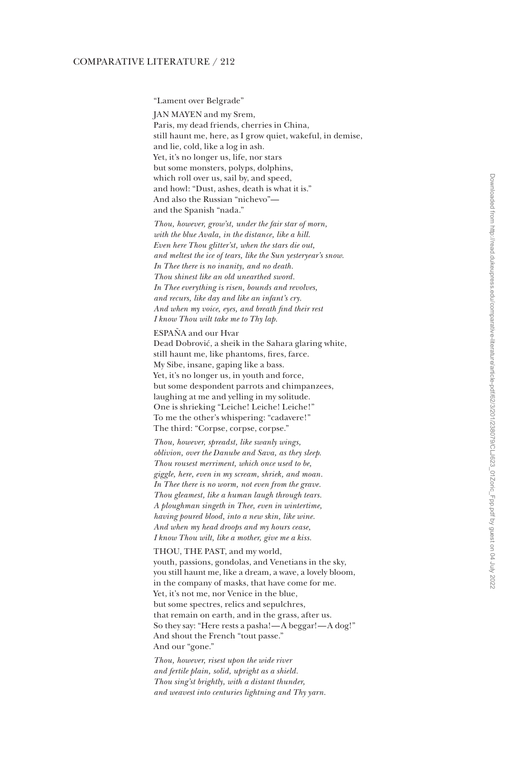" Lament over Belgrade"

J AN MAYEN and my Srem, Paris, my dead friends, cherries in China, still haunt me, here, as I grow quiet, wakeful, in demise, and lie, cold, like a log in ash. Yet, it's no longer us, life, nor stars but some monsters, polyps, dolphins, which roll over us, sail by, and speed, and howl: " Dust, ashes, death is what it is." And also the Russian "nichevo" and the Spanish "nada."

*Thou, however, grow'st, under the fair star of morn, with the blue Avala, in the distance, like a hill. Even here Thou glitter'st, when the stars die out, and meltest the ice of tears, like the Sun yesteryear's snow. In Thee there is no inanity, and no death. Thou shinest like an old unearthed sword. In Thee everything is risen, bounds and revolves, and recurs, like day and like an infant's cry. And when my voice, eyes, and breath find their rest I know Thou wilt take me to Thy lap.* 

ESPA Ñ A and our Hvar

Dead Dobrović, a sheik in the Sahara glaring white, still haunt me, like phantoms, fires, farce. My Sibe, insane, gaping like a bass. Yet, it's no longer us, in youth and force, but some despondent parrots and chimpanzees, laughing at me and yelling in my solitude. One is shrieking "Leiche! Leiche! Leiche!" To me the other's whispering: "cadavere!" The third: "Corpse, corpse, corpse."

*Thou, however, spreadst, like swanly wings, oblivion, over the Danube and Sava, as they sleep. Thou rousest merriment, which once used to be, giggle, here, even in my scream, shriek, and moan. In Thee there is no worm, not even from the grave. Thou gleamest, like a human laugh through tears. A ploughman singeth in Thee, even in wintertime, having poured blood, into a new skin, like wine. And when my head droops and my hours cease, I know Thou wilt, like a mother, give me a kiss.*

TH OU, THE PAST, and my world, youth, passions, gondolas, and Venetians in the sky, you still haunt me, like a dream, a wave, a lovely bloom, in the company of masks, that have come for me. Yet, it's not me, nor Venice in the blue, but some spectres, relics and sepulchres, that remain on earth, and in the grass, after us. So they say: "Here rests a pasha! — A beggar! — A dog!" And shout the French "tout passe." And our "gone."

*Thou, however, risest upon the wide river and fertile plain, solid, upright as a shield. Thou sing'st brightly, with a distant thunder, and weavest into centuries lightning and Thy yarn.*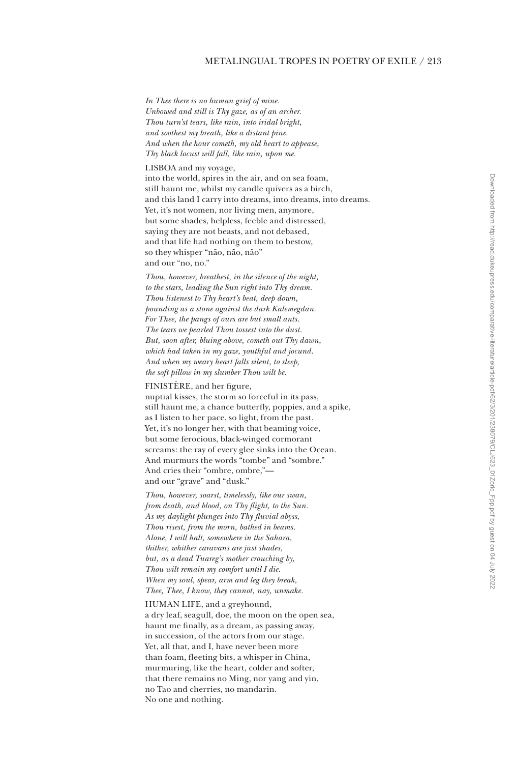### METALINGUAL TROPES IN POETRY OF EXILE / 213

*In Thee there is no human grief of mine. Unbowed and still is Thy gaze, as of an archer. Thou turn'st tears, like rain, into iridal bright, and soothest my breath, like a distant pine. And when the hour cometh, my old heart to appease, Thy black locust will fall, like rain, upon me.*

#### LISBOA and my voyage,

into the world, spires in the air, and on sea foam, still haunt me, whilst my candle quivers as a birch, and this land I carry into dreams, into dreams, into dreams. Yet, it's not women, nor living men, anymore, but some shades, helpless, feeble and distressed, saying they are not beasts, and not debased, and that life had nothing on them to bestow, so they whisper "não, não, não" and our "no, no."

*Thou, however, breathest, in the silence of the night, to the stars, leading the Sun right into Thy dream. Thou listenest to Thy heart's beat, deep down, pounding as a stone against the dark Kalemegdan. For Thee, the pangs of ours are but small ants. The tears we pearled Thou tossest into the dust. But, soon after, bluing above, cometh out Thy dawn, which had taken in my gaze, youthful and jocund. And when my weary heart falls silent, to sleep, the soft pillow in my slumber Thou wilt be.*

FINISTÈRE, and her figure, nuptial kisses, the storm so forceful in its pass, still haunt me, a chance butterfly, poppies, and a spike, as I listen to her pace, so light, from the past. Yet, it's no longer her, with that beaming voice, but some ferocious, black-winged cormorant screams: the ray of every glee sinks into the Ocean. And murmurs the words "tombe" and "sombre." And cries their "ombre, ombre," and our "grave" and "dusk."

*Thou, however, soarst, timelessly, like our swan, from death, and blood, on Thy flight, to the Sun. As my daylight plunges into Thy fluvial abyss, Thou risest, from the morn, bathed in beams. Alone, I will halt, somewhere in the Sahara, thither, whither caravans are just shades, but, as a dead Tuareg's mother crouching by, Thou wilt remain my comfort until I die. When my soul, spear, arm and leg they break, Thee, Thee, I know, they cannot, nay, unmake.* 

HUMAN LIFE, and a greyhound, a dry leaf, seagull, doe, the moon on the open sea, haunt me finally, as a dream, as passing away, in succession, of the actors from our stage. Yet, all that, and I, have never been more than foam, fleeting bits, a whisper in China, murmuring, like the heart, colder and softer, that there remains no Ming, nor yang and yin, no Tao and cherries, no mandarin. No one and nothing.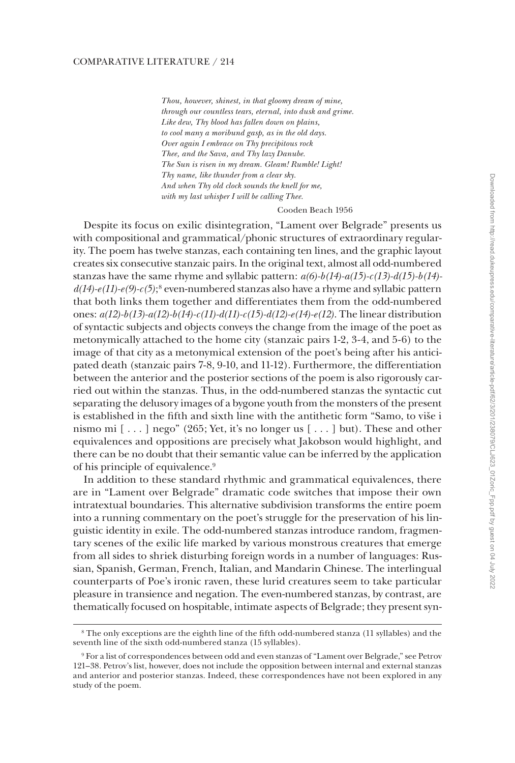*Thou, however, shinest, in that gloomy dream of mine, through our countless tears, eternal, into dusk and grime. Like dew, Thy blood has fallen down on plains, to cool many a moribund gasp, as in the old days. Over again I embrace on Thy precipitous rock Thee, and the Sava, and Thy lazy Danube. The Sun is risen in my dream. Gleam! Rumble! Light! Thy name, like thunder from a clear sky. And when Thy old clock sounds the knell for me, with my last whisper I will be calling Thee.* 

#### Cooden Beach 1956

Despite its focus on exilic disintegration, "Lament over Belgrade" presents us with compositional and grammatical/phonic structures of extraordinary regularity. The poem has twelve stanzas, each containing ten lines, and the graphic layout creates six consecutive stanzaic pairs. In the original text, almost all odd-numbered stanzas have the same rhyme and syllabic pattern: *a(6)-b(14)-a(15)-c(13)-d(15)-b(14)*  $d(14)$ - $e(11)$ - $e(9)$ - $c(5)$ ;<sup>8</sup> even-numbered stanzas also have a rhyme and syllabic pattern that both links them together and differentiates them from the odd-numbered ones: *a(12)-b(13)-a(12)-b(14)-c(11)-d(11)-c(15)-d(12)-e(14)-e(12)*. The linear distribution of syntactic subjects and objects conveys the change from the image of the poet as metonymically attached to the home city (stanzaic pairs 1-2, 3-4, and 5-6) to the image of that city as a metonymical extension of the poet's being after his anticipated death (stanzaic pairs 7-8, 9-10, and 11-12). Furthermore, the differentiation between the anterior and the posterior sections of the poem is also rigorously carried out within the stanzas. Thus, in the odd-numbered stanzas the syntactic cut separating the delusory images of a bygone youth from the monsters of the present is established in the fifth and sixth line with the antithetic form "Samo, to više i nismo mi [ . . . ] nego" (265; Yet, it's no longer us [ . . . ] but). These and other equivalences and oppositions are precisely what Jakobson would highlight, and there can be no doubt that their semantic value can be inferred by the application of his principle of equivalence.9

In addition to these standard rhythmic and grammatical equivalences, there are in "Lament over Belgrade" dramatic code switches that impose their own intratextual boundaries. This alternative subdivision transforms the entire poem into a running commentary on the poet's struggle for the preservation of his linguistic identity in exile. The odd-numbered stanzas introduce random, fragmentary scenes of the exilic life marked by various monstrous creatures that emerge from all sides to shriek disturbing foreign words in a number of languages: Russian, Spanish, German, French, Italian, and Mandarin Chinese. The interlingual counterparts of Poe's ironic raven, these lurid creatures seem to take particular pleasure in transience and negation. The even-numbered stanzas, by contrast, are thematically focused on hospitable, intimate aspects of Belgrade; they present syn-

<sup>8</sup> The only exceptions are the eighth line of the fifth odd-numbered stanza (11 syllables) and the seventh line of the sixth odd-numbered stanza (15 syllables).

<sup>9</sup> For a list of correspondences between odd and even stanzas of "Lament over Belgrade," see Petrov 121–38. Petrov's list, however, does not include the opposition between internal and external stanzas and anterior and posterior stanzas. Indeed, these correspondences have not been explored in any study of the poem.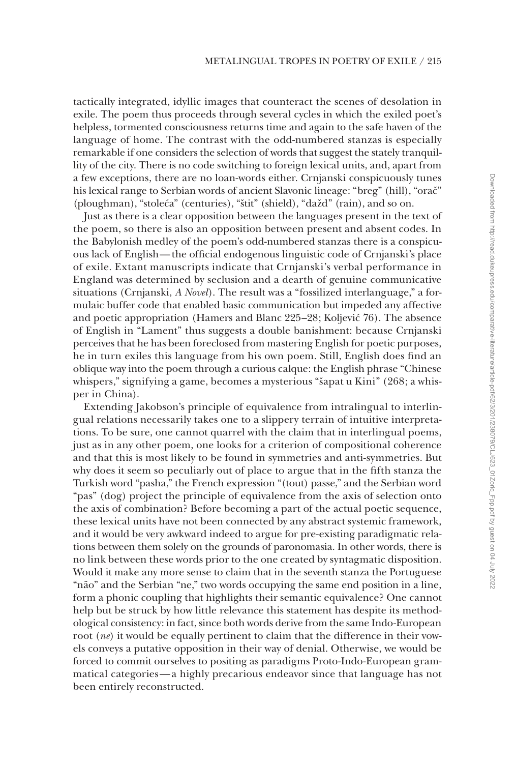tactically integrated, idyllic images that counteract the scenes of desolation in exile. The poem thus proceeds through several cycles in which the exiled poet's helpless, tormented consciousness returns time and again to the safe haven of the language of home. The contrast with the odd-numbered stanzas is especially remarkable if one considers the selection of words that suggest the stately tranquillity of the city. There is no code switching to foreign lexical units, and, apart from a few exceptions, there are no loan-words either. Crnjanski conspicuously tunes his lexical range to Serbian words of ancient Slavonic lineage: "breg" (hill), "orač" (ploughman), "stoleća" (centuries), "štit" (shield), "dažd" (rain), and so on.

Just as there is a clear opposition between the languages present in the text of the poem, so there is also an opposition between present and absent codes. In the Babylonish medley of the poem's odd-numbered stanzas there is a conspicuous lack of English—the official endogenous linguistic code of Crnjanski's place of exile. Extant manuscripts indicate that Crnjanski's verbal performance in England was determined by seclusion and a dearth of genuine communicative situations (Crnjanski, *A Novel*). The result was a "fossilized interlanguage," a formulaic buffer code that enabled basic communication but impeded any affective and poetic appropriation (Hamers and Blanc 225–28; Koljevic´ 76). The absence of English in "Lament" thus suggests a double banishment: because Crnjanski perceives that he has been foreclosed from mastering English for poetic purposes, he in turn exiles this language from his own poem. Still, English does find an oblique way into the poem through a curious calque: the English phrase "Chinese whispers," signifying a game, becomes a mysterious "šapat u Kini" (268; a whisper in China).

Extending Jakobson's principle of equivalence from intralingual to interlingual relations necessarily takes one to a slippery terrain of intuitive interpretations. To be sure, one cannot quarrel with the claim that in interlingual poems, just as in any other poem, one looks for a criterion of compositional coherence and that this is most likely to be found in symmetries and anti-symmetries. But why does it seem so peculiarly out of place to argue that in the fifth stanza the Turkish word "pasha," the French expression "(tout) passe," and the Serbian word "pas" (dog) project the principle of equivalence from the axis of selection onto the axis of combination? Before becoming a part of the actual poetic sequence, these lexical units have not been connected by any abstract systemic framework, and it would be very awkward indeed to argue for pre-existing paradigmatic relations between them solely on the grounds of paronomasia. In other words, there is no link between these words prior to the one created by syntagmatic disposition. Would it make any more sense to claim that in the seventh stanza the Portuguese "não" and the Serbian "ne," two words occupying the same end position in a line, form a phonic coupling that highlights their semantic equivalence? One cannot help but be struck by how little relevance this statement has despite its methodological consistency: in fact, since both words derive from the same Indo-European root (*ne*) it would be equally pertinent to claim that the difference in their vowels conveys a putative opposition in their way of denial. Otherwise, we would be forced to commit ourselves to positing as paradigms Proto-Indo-European grammatical categories—a highly precarious endeavor since that language has not been entirely reconstructed.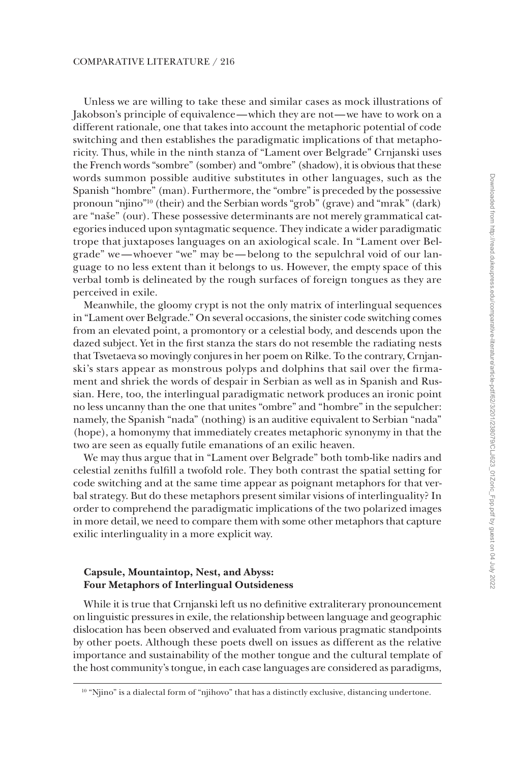Unless we are willing to take these and similar cases as mock illustrations of Jakobson's principle of equivalence—which they are not—we have to work on a different rationale, one that takes into account the metaphoric potential of code switching and then establishes the paradigmatic implications of that metaphoricity. Thus, while in the ninth stanza of "Lament over Belgrade" Crnjanski uses the French words "sombre" (somber) and "ombre" (shadow), it is obvious that these words summon possible auditive substitutes in other languages, such as the Spanish "hombre" (man). Furthermore, the "ombre" is preceded by the possessive pronoun "njino"10 (their) and the Serbian words "grob" (grave) and "mrak" (dark) are "naše" (our). These possessive determinants are not merely grammatical categories induced upon syntagmatic sequence. They indicate a wider paradigmatic trope that juxtaposes languages on an axiological scale. In "Lament over Belgrade" we—whoever "we" may be—belong to the sepulchral void of our language to no less extent than it belongs to us. However, the empty space of this verbal tomb is delineated by the rough surfaces of foreign tongues as they are perceived in exile.

Meanwhile, the gloomy crypt is not the only matrix of interlingual sequences in "Lament over Belgrade." On several occasions, the sinister code switching comes from an elevated point, a promontory or a celestial body, and descends upon the dazed subject. Yet in the first stanza the stars do not resemble the radiating nests that Tsvetaeva so movingly conjures in her poem on Rilke. To the contrary, Crnjanski's stars appear as monstrous polyps and dolphins that sail over the firmament and shriek the words of despair in Serbian as well as in Spanish and Russian. Here, too, the interlingual paradigmatic network produces an ironic point no less uncanny than the one that unites "ombre" and "hombre" in the sepulcher: namely, the Spanish "nada" (nothing) is an auditive equivalent to Serbian "nada" (hope), a homonymy that immediately creates metaphoric synonymy in that the two are seen as equally futile emanations of an exilic heaven.

We may thus argue that in "Lament over Belgrade" both tomb-like nadirs and celestial zeniths fulfill a twofold role. They both contrast the spatial setting for code switching and at the same time appear as poignant metaphors for that verbal strategy. But do these metaphors present similar visions of interlinguality? In order to comprehend the paradigmatic implications of the two polarized images in more detail, we need to compare them with some other metaphors that capture exilic interlinguality in a more explicit way.

# **Capsule, Mountaintop, Nest, and Abyss: Four Metaphors of Interlingual Outsideness**

While it is true that Crnjanski left us no definitive extraliterary pronouncement on linguistic pressures in exile, the relationship between language and geographic dislocation has been observed and evaluated from various pragmatic standpoints by other poets. Although these poets dwell on issues as different as the relative importance and sustainability of the mother tongue and the cultural template of the host community's tongue, in each case languages are considered as paradigms,

<sup>&</sup>lt;sup>10</sup> "Njino" is a dialectal form of "njihovo" that has a distinctly exclusive, distancing undertone.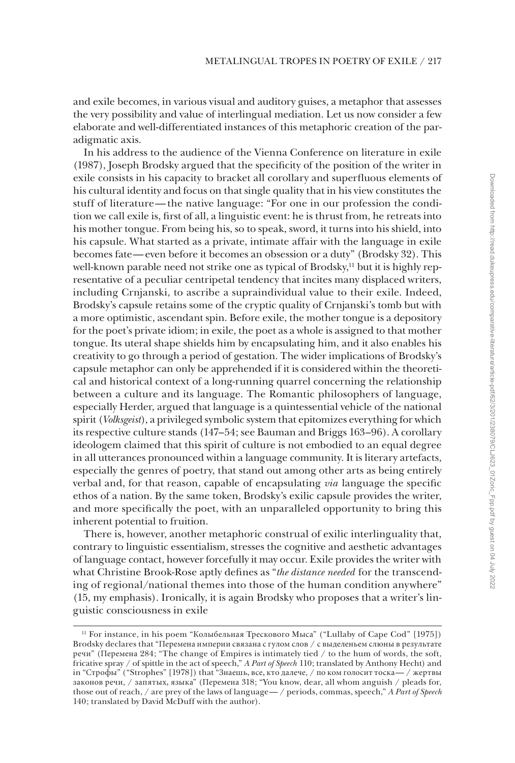and exile becomes, in various visual and auditory guises, a metaphor that assesses the very possibility and value of interlingual mediation. Let us now consider a few elaborate and well-differentiated instances of this metaphoric creation of the paradigmatic axis.

In his address to the audience of the Vienna Conference on literature in exile (1987), Joseph Brodsky argued that the specificity of the position of the writer in exile consists in his capacity to bracket all corollary and superfluous elements of his cultural identity and focus on that single quality that in his view constitutes the stuff of literature—the native language: "For one in our profession the condition we call exile is, first of all, a linguistic event: he is thrust from, he retreats into his mother tongue. From being his, so to speak, sword, it turns into his shield, into his capsule. What started as a private, intimate affair with the language in exile becomes fate—even before it becomes an obsession or a duty" (Brodsky 32). This well-known parable need not strike one as typical of Brodsky,<sup>11</sup> but it is highly representative of a peculiar centripetal tendency that incites many displaced writers, including Crnjanski, to ascribe a supraindividual value to their exile. Indeed, Brodsky's capsule retains some of the cryptic quality of Crnjanski's tomb but with a more optimistic, ascendant spin. Before exile, the mother tongue is a depository for the poet's private idiom; in exile, the poet as a whole is assigned to that mother tongue. Its uteral shape shields him by encapsulating him, and it also enables his creativity to go through a period of gestation. The wider implications of Brodsky's capsule metaphor can only be apprehended if it is considered within the theoretical and historical context of a long-running quarrel concerning the relationship between a culture and its language. The Romantic philosophers of language, especially Herder, argued that language is a quintessential vehicle of the national spirit (*Volksgeist*), a privileged symbolic system that epitomizes everything for which its respective culture stands (147–54; see Bauman and Briggs 163–96). A corollary ideologem claimed that this spirit of culture is not embodied to an equal degree in all utterances pronounced within a language community. It is literary artefacts, especially the genres of poetry, that stand out among other arts as being entirely verbal and, for that reason, capable of encapsulating *via* language the specific ethos of a nation. By the same token, Brodsky's exilic capsule provides the writer, and more specifically the poet, with an unparalleled opportunity to bring this inherent potential to fruition.

There is, however, another metaphoric construal of exilic interlinguality that, contrary to linguistic essentialism, stresses the cognitive and aesthetic advantages of language contact, however forcefully it may occur. Exile provides the writer with what Christine Brook-Rose aptly defines as "*the distance needed* for the transcending of regional/national themes into those of the human condition anywhere" (15, my emphasis). Ironically, it is again Brodsky who proposes that a writer's linguistic consciousness in exile

<sup>&</sup>lt;sup>11</sup> For instance, in his poem "Колыбельная Трескового Мыса" ("Lullaby of Cape Cod" [1975]) Brodsky declares that "Перемена империи связана с гулом слов / с выделеньем слюны в результате речи" (Перемена 284; "The change of Empires is intimately tied / to the hum of words, the soft, fricative spray / of spittle in the act of speech," *A Part of Speech* 110; translated by Anthony Hecht) and in "Строфы" ("Strophes" [1978]) that "Знаешь, все, кто далече, / по ком голосит тоска— / жертвы законов речи, / запятых, языка" (Перемена 318; "You know, dear, all whom anguish / pleads for, those out of reach, / are prey of the laws of language— / periods, commas, speech," *A Part of Speech* 140; translated by David McDuff with the author).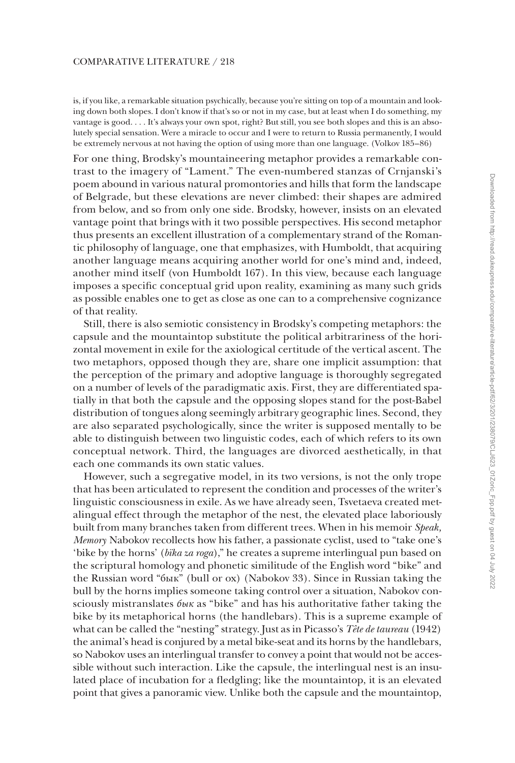is, if you like, a remarkable situation psychically, because you're sitting on top of a mountain and looking down both slopes. I don't know if that's so or not in my case, but at least when I do something, my vantage is good. . . . It's always your own spot, right? But still, you see both slopes and this is an absolutely special sensation. Were a miracle to occur and I were to return to Russia permanently, I would be extremely nervous at not having the option of using more than one language. (Volkov 185–86)

For one thing, Brodsky's mountaineering metaphor provides a remarkable contrast to the imagery of "Lament." The even-numbered stanzas of Crnjanski's poem abound in various natural promontories and hills that form the landscape of Belgrade, but these elevations are never climbed: their shapes are admired from below, and so from only one side. Brodsky, however, insists on an elevated vantage point that brings with it two possible perspectives. His second metaphor thus presents an excellent illustration of a complementary strand of the Romantic philosophy of language, one that emphasizes, with Humboldt, that acquiring another language means acquiring another world for one's mind and, indeed, another mind itself (von Humboldt 167). In this view, because each language imposes a specific conceptual grid upon reality, examining as many such grids as possible enables one to get as close as one can to a comprehensive cognizance of that reality.

Still, there is also semiotic consistency in Brodsky's competing metaphors: the capsule and the mountaintop substitute the political arbitrariness of the horizontal movement in exile for the axiological certitude of the vertical ascent. The two metaphors, opposed though they are, share one implicit assumption: that the perception of the primary and adoptive language is thoroughly segregated on a number of levels of the paradigmatic axis. First, they are differentiated spatially in that both the capsule and the opposing slopes stand for the post-Babel distribution of tongues along seemingly arbitrary geographic lines. Second, they are also separated psychologically, since the writer is supposed mentally to be able to distinguish between two linguistic codes, each of which refers to its own conceptual network. Third, the languages are divorced aesthetically, in that each one commands its own static values.

However, such a segregative model, in its two versions, is not the only trope that has been articulated to represent the condition and processes of the writer's linguistic consciousness in exile. As we have already seen, Tsvetaeva created metalingual effect through the metaphor of the nest, the elevated place laboriously built from many branches taken from different trees. When in his memoir *Speak, Memory* Nabokov recollects how his father, a passionate cyclist, used to "take one's 'bike by the horns' (*bïka za roga*)," he creates a supreme interlingual pun based on the scriptural homology and phonetic similitude of the English word "bike" and the Russian word "бык" (bull or ox) (Nabokov 33). Since in Russian taking the bull by the horns implies someone taking control over a situation, Nabokov consciously mistranslates *бык* as "bike" and has his authoritative father taking the bike by its metaphorical horns (the handlebars). This is a supreme example of what can be called the "nesting" strategy. Just as in Picasso's *Tête de taureau* (1942) the animal's head is conjured by a metal bike-seat and its horns by the handlebars, so Nabokov uses an interlingual transfer to convey a point that would not be accessible without such interaction. Like the capsule, the interlingual nest is an insulated place of incubation for a fledgling; like the mountaintop, it is an elevated point that gives a panoramic view. Unlike both the capsule and the mountaintop,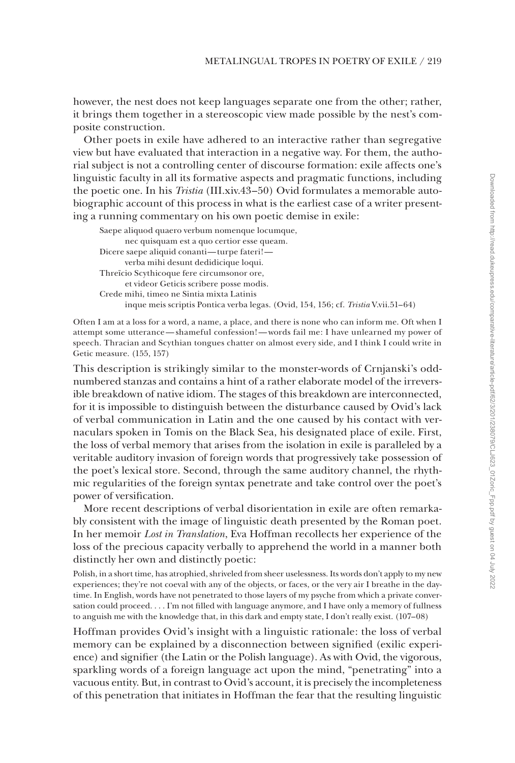however, the nest does not keep languages separate one from the other; rather, it brings them together in a stereoscopic view made possible by the nest's composite construction.

Other poets in exile have adhered to an interactive rather than segregative view but have evaluated that interaction in a negative way. For them, the authorial subject is not a controlling center of discourse formation: exile affects one's linguistic faculty in all its formative aspects and pragmatic functions, including the poetic one. In his *Tristia* (III.xiv.43–50) Ovid formulates a memorable autobiographic account of this process in what is the earliest case of a writer presenting a running commentary on his own poetic demise in exile:

Saepe aliquod quaero verbum nomenque locumque, nec quisquam est a quo certior esse queam. Dicere saepe aliquid conanti—turpe fateri! verba mihi desunt dedidicique loqui. Threïcio Scythicoque fere circumsonor ore, et videor Geticis scribere posse modis. Crede mihi, timeo ne Sintia mixta Latinis inque meis scriptis Pontica verba legas. (Ovid, 154, 156; cf. *Tristia* V.vii.51–64)

Often I am at a loss for a word, a name, a place, and there is none who can inform me. Oft when I attempt some utterance— shameful confession!—words fail me: I have unlearned my power of speech. Thracian and Scythian tongues chatter on almost every side, and I think I could write in Getic measure. (155, 157)

This description is strikingly similar to the monster-words of Crnjanski's oddnumbered stanzas and contains a hint of a rather elaborate model of the irreversible breakdown of native idiom. The stages of this breakdown are interconnected, for it is impossible to distinguish between the disturbance caused by Ovid's lack of verbal communication in Latin and the one caused by his contact with vernaculars spoken in Tomis on the Black Sea, his designated place of exile. First, the loss of verbal memory that arises from the isolation in exile is paralleled by a veritable auditory invasion of foreign words that progressively take possession of the poet's lexical store. Second, through the same auditory channel, the rhythmic regularities of the foreign syntax penetrate and take control over the poet's power of versification.

More recent descriptions of verbal disorientation in exile are often remarkably consistent with the image of linguistic death presented by the Roman poet. In her memoir *Lost in Translation*, Eva Hoffman recollects her experience of the loss of the precious capacity verbally to apprehend the world in a manner both distinctly her own and distinctly poetic:

Polish, in a short time, has atrophied, shriveled from sheer uselessness. Its words don't apply to my new experiences; they're not coeval with any of the objects, or faces, or the very air I breathe in the daytime. In English, words have not penetrated to those layers of my psyche from which a private conversation could proceed. . . . I'm not filled with language anymore, and I have only a memory of fullness to anguish me with the knowledge that, in this dark and empty state, I don't really exist. (107–08)

Hoffman provides Ovid's insight with a linguistic rationale: the loss of verbal memory can be explained by a disconnection between signified (exilic experience) and signifier (the Latin or the Polish language). As with Ovid, the vigorous, sparkling words of a foreign language act upon the mind, "penetrating" into a vacuous entity. But, in contrast to Ovid's account, it is precisely the incompleteness of this penetration that initiates in Hoffman the fear that the resulting linguistic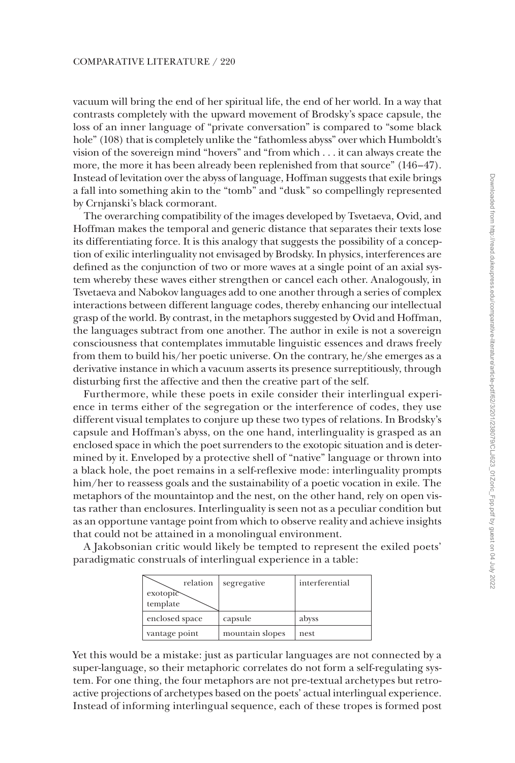vacuum will bring the end of her spiritual life, the end of her world. In a way that contrasts completely with the upward movement of Brodsky's space capsule, the loss of an inner language of "private conversation" is compared to "some black hole" (108) that is completely unlike the "fathomless abyss" over which Humboldt's vision of the sovereign mind "hovers" and "from which . . . it can always create the more, the more it has been already been replenished from that source" (146–47). Instead of levitation over the abyss of language, Hoffman suggests that exile brings a fall into something akin to the "tomb" and "dusk" so compellingly represented by Crnjanski's black cormorant.

The overarching compatibility of the images developed by Tsvetaeva, Ovid, and Hoffman makes the temporal and generic distance that separates their texts lose its differentiating force. It is this analogy that suggests the possibility of a conception of exilic interlinguality not envisaged by Brodsky. In physics, interferences are defined as the conjunction of two or more waves at a single point of an axial system whereby these waves either strengthen or cancel each other. Analogously, in Tsvetaeva and Nabokov languages add to one another through a series of complex interactions between different language codes, thereby enhancing our intellectual grasp of the world. By contrast, in the metaphors suggested by Ovid and Hoffman, the languages subtract from one another. The author in exile is not a sovereign consciousness that contemplates immutable linguistic essences and draws freely from them to build his/her poetic universe. On the contrary, he/she emerges as a derivative instance in which a vacuum asserts its presence surreptitiously, through disturbing first the affective and then the creative part of the self.

Furthermore, while these poets in exile consider their interlingual experience in terms either of the segregation or the interference of codes, they use different visual templates to conjure up these two types of relations. In Brodsky's capsule and Hoffman's abyss, on the one hand, interlinguality is grasped as an enclosed space in which the poet surrenders to the exotopic situation and is determined by it. Enveloped by a protective shell of "native" language or thrown into a black hole, the poet remains in a self-reflexive mode: interlinguality prompts him/her to reassess goals and the sustainability of a poetic vocation in exile. The metaphors of the mountaintop and the nest, on the other hand, rely on open vistas rather than enclosures. Interlinguality is seen not as a peculiar condition but as an opportune vantage point from which to observe reality and achieve insights that could not be attained in a monolingual environment.

A Jakobsonian critic would likely be tempted to represent the exiled poets' paradigmatic construals of interlingual experience in a table:

| relation       | segregative     | interferential |
|----------------|-----------------|----------------|
| exotopic       |                 |                |
| template       |                 |                |
| enclosed space | capsule         | abyss          |
| vantage point  | mountain slopes | nest           |

Yet this would be a mistake: just as particular languages are not connected by a super-language, so their metaphoric correlates do not form a self-regulating system. For one thing, the four metaphors are not pre-textual archetypes but retroactive projections of archetypes based on the poets' actual interlingual experience. Instead of informing interlingual sequence, each of these tropes is formed post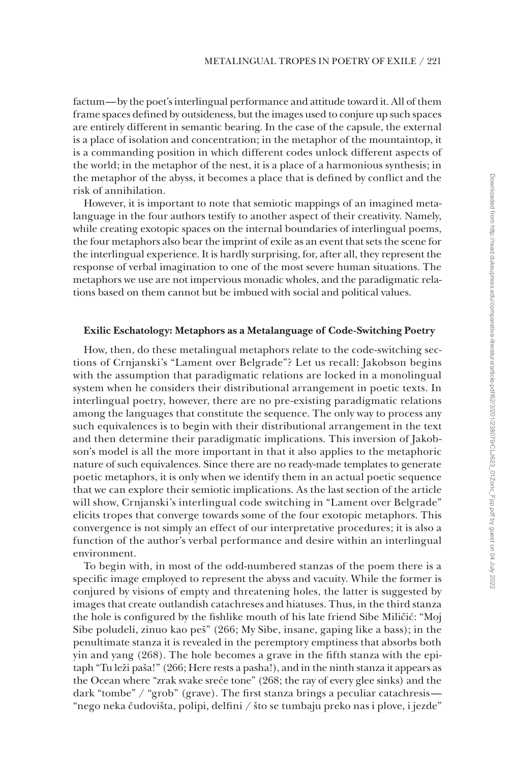factum—by the poet's interlingual performance and attitude toward it. All of them frame spaces defined by outsideness, but the images used to conjure up such spaces are entirely different in semantic bearing. In the case of the capsule, the external is a place of isolation and concentration; in the metaphor of the mountaintop, it is a commanding position in which different codes unlock different aspects of the world; in the metaphor of the nest, it is a place of a harmonious synthesis; in the metaphor of the abyss, it becomes a place that is defined by conflict and the risk of annihilation.

However, it is important to note that semiotic mappings of an imagined metalanguage in the four authors testify to another aspect of their creativity. Namely, while creating exotopic spaces on the internal boundaries of interlingual poems, the four metaphors also bear the imprint of exile as an event that sets the scene for the interlingual experience. It is hardly surprising, for, after all, they represent the response of verbal imagination to one of the most severe human situations. The metaphors we use are not impervious monadic wholes, and the paradigmatic relations based on them cannot but be imbued with social and political values.

# **Exilic Eschatology: Metaphors as a Metalanguage of Code-Switching Poetry**

How, then, do these metalingual metaphors relate to the code-switching sections of Crnjanski's "Lament over Belgrade"? Let us recall: Jakobson begins with the assumption that paradigmatic relations are locked in a monolingual system when he considers their distributional arrangement in poetic texts. In interlingual poetry, however, there are no pre-existing paradigmatic relations among the languages that constitute the sequence. The only way to process any such equivalences is to begin with their distributional arrangement in the text and then determine their paradigmatic implications. This inversion of Jakobson's model is all the more important in that it also applies to the metaphoric nature of such equivalences. Since there are no ready-made templates to generate poetic metaphors, it is only when we identify them in an actual poetic sequence that we can explore their semiotic implications. As the last section of the article will show, Crnjanski's interlingual code switching in "Lament over Belgrade" elicits tropes that converge towards some of the four exotopic metaphors. This convergence is not simply an effect of our interpretative procedures; it is also a function of the author's verbal performance and desire within an interlingual environment.

To begin with, in most of the odd-numbered stanzas of the poem there is a specific image employed to represent the abyss and vacuity. While the former is conjured by visions of empty and threatening holes, the latter is suggested by images that create outlandish catachreses and hiatuses. Thus, in the third stanza the hole is configured by the fishlike mouth of his late friend Sibe Miličić: "Moj Sibe poludeli, zinuo kao peš" (266; My Sibe, insane, gaping like a bass); in the penultimate stanza it is revealed in the peremptory emptiness that absorbs both yin and yang (268). The hole becomes a grave in the fifth stanza with the epitaph "Tu leži paša!" (266; Here rests a pasha!), and in the ninth stanza it appears as the Ocean where "zrak svake srec´e tone" (268; the ray of every glee sinks) and the dark "tombe" / "grob" (grave). The first stanza brings a peculiar catachresis— "nego neka čudovišta, polipi, delfini / što se tumbaju preko nas i plove, i jezde"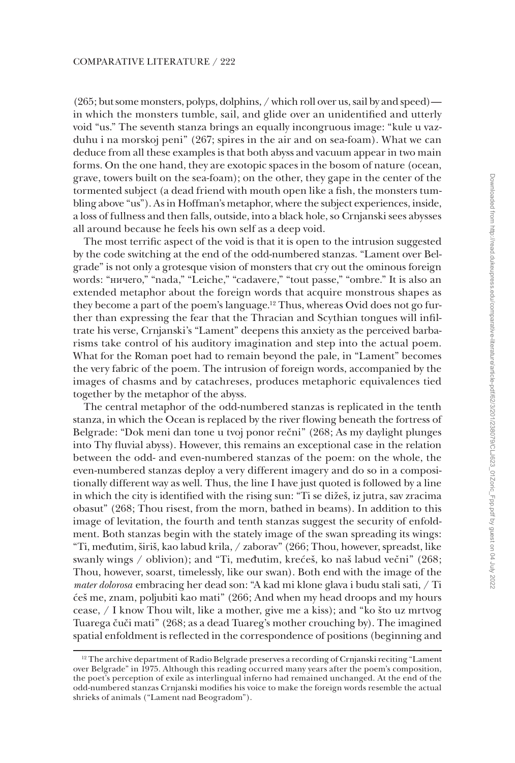(265; but some monsters, polyps, dolphins, / which roll over us, sail by and speed) in which the monsters tumble, sail, and glide over an unidentified and utterly void "us." The seventh stanza brings an equally incongruous image: "kule u vazduhu i na morskoj peni" (267; spires in the air and on sea-foam). What we can deduce from all these examples is that both abyss and vacuum appear in two main forms. On the one hand, they are exotopic spaces in the bosom of nature (ocean, grave, towers built on the sea-foam); on the other, they gape in the center of the tormented subject (a dead friend with mouth open like a fish, the monsters tumbling above "us"). As in Hoffman's metaphor, where the subject experiences, inside, a loss of fullness and then falls, outside, into a black hole, so Crnjanski sees abysses all around because he feels his own self as a deep void.

The most terrific aspect of the void is that it is open to the intrusion suggested by the code switching at the end of the odd-numbered stanzas. "Lament over Belgrade" is not only a grotesque vision of monsters that cry out the ominous foreign words: "ничего," "nada," "Leiche," "cadavere," "tout passe," "ombre." It is also an extended metaphor about the foreign words that acquire monstrous shapes as they become a part of the poem's language.<sup>12</sup> Thus, whereas Ovid does not go further than expressing the fear that the Thracian and Scythian tongues will infiltrate his verse, Crnjanski's "Lament" deepens this anxiety as the perceived barbarisms take control of his auditory imagination and step into the actual poem. What for the Roman poet had to remain beyond the pale, in "Lament" becomes the very fabric of the poem. The intrusion of foreign words, accompanied by the images of chasms and by catachreses, produces metaphoric equivalences tied together by the metaphor of the abyss.

The central metaphor of the odd-numbered stanzas is replicated in the tenth stanza, in which the Ocean is replaced by the river flowing beneath the fortress of Belgrade: "Dok meni dan tone u tvoj ponor rečni" (268; As my daylight plunges into Thy fluvial abyss). However, this remains an exceptional case in the relation between the odd- and even-numbered stanzas of the poem: on the whole, the even-numbered stanzas deploy a very different imagery and do so in a compositionally different way as well. Thus, the line I have just quoted is followed by a line in which the city is identified with the rising sun: "Ti se dižeš, iz jutra, sav zracima obasut" (268; Thou risest, from the morn, bathed in beams). In addition to this image of levitation, the fourth and tenth stanzas suggest the security of enfoldment. Both stanzas begin with the stately image of the swan spreading its wings: "Ti, međutim, širiš, kao labud krila, / zaborav" (266; Thou, however, spreadst, like swanly wings / oblivion); and "Ti, međutim, krećeš, ko naš labud večni" (268; Thou, however, soarst, timelessly, like our swan). Both end with the image of the *mater dolorosa* embracing her dead son: "A kad mi klone glava i budu stali sati, / Ti c´eš me, znam, poljubiti kao mati" (266; And when my head droops and my hours cease, / I know Thou wilt, like a mother, give me a kiss); and "ko što uz mrtvog Tuarega čuči mati" (268; as a dead Tuareg's mother crouching by). The imagined spatial enfoldment is reflected in the correspondence of positions (beginning and

<sup>&</sup>lt;sup>12</sup> The archive department of Radio Belgrade preserves a recording of Crnjanski reciting "Lament over Belgrade" in 1975. Although this reading occurred many years after the poem's composition, the poet's perception of exile as interlingual inferno had remained unchanged. At the end of the odd-numbered stanzas Crnjanski modifies his voice to make the foreign words resemble the actual shrieks of animals ("Lament nad Beogradom").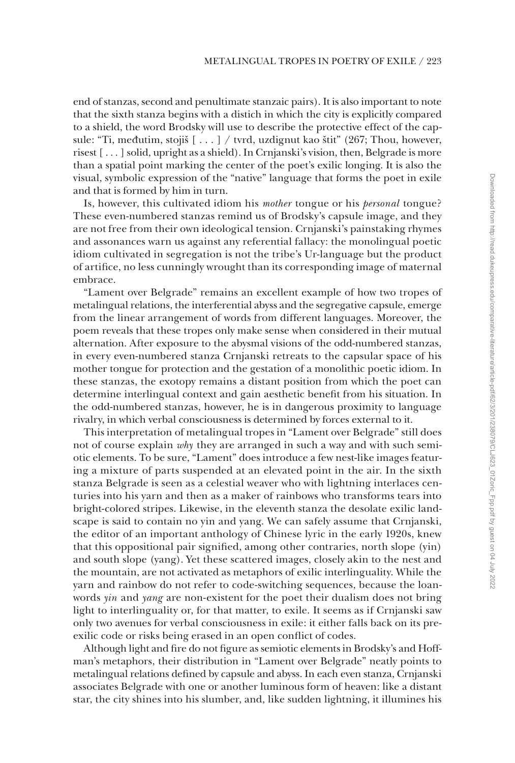end of stanzas, second and penultimate stanzaic pairs). It is also important to note that the sixth stanza begins with a distich in which the city is explicitly compared to a shield, the word Brodsky will use to describe the protective effect of the capsule: "Ti, međutim, stojiš [...] / tvrd, uzdignut kao štit" (267; Thou, however, risest [ . . . ] solid, upright as a shield). In Crnjanski's vision, then, Belgrade is more than a spatial point marking the center of the poet's exilic longing. It is also the visual, symbolic expression of the "native" language that forms the poet in exile and that is formed by him in turn.

Is, however, this cultivated idiom his *mother* tongue or his *personal* tongue? These even-numbered stanzas remind us of Brodsky's capsule image, and they are not free from their own ideological tension. Crnjanski's painstaking rhymes and assonances warn us against any referential fallacy: the monolingual poetic idiom cultivated in segregation is not the tribe's Ur-language but the product of artifice, no less cunningly wrought than its corresponding image of maternal embrace.

"Lament over Belgrade" remains an excellent example of how two tropes of metalingual relations, the interferential abyss and the segregative capsule, emerge from the linear arrangement of words from different languages. Moreover, the poem reveals that these tropes only make sense when considered in their mutual alternation. After exposure to the abysmal visions of the odd-numbered stanzas, in every even-numbered stanza Crnjanski retreats to the capsular space of his mother tongue for protection and the gestation of a monolithic poetic idiom. In these stanzas, the exotopy remains a distant position from which the poet can determine interlingual context and gain aesthetic benefit from his situation. In the odd-numbered stanzas, however, he is in dangerous proximity to language rivalry, in which verbal consciousness is determined by forces external to it.

This interpretation of metalingual tropes in "Lament over Belgrade" still does not of course explain *why* they are arranged in such a way and with such semiotic elements. To be sure, "Lament" does introduce a few nest-like images featuring a mixture of parts suspended at an elevated point in the air. In the sixth stanza Belgrade is seen as a celestial weaver who with lightning interlaces centuries into his yarn and then as a maker of rainbows who transforms tears into bright-colored stripes. Likewise, in the eleventh stanza the desolate exilic landscape is said to contain no yin and yang. We can safely assume that Crnjanski, the editor of an important anthology of Chinese lyric in the early 1920s, knew that this oppositional pair signified, among other contraries, north slope (yin) and south slope (yang). Yet these scattered images, closely akin to the nest and the mountain, are not activated as metaphors of exilic interlinguality. While the yarn and rainbow do not refer to code-switching sequences, because the loanwords *yin* and *yang* are non-existent for the poet their dualism does not bring light to interlinguality or, for that matter, to exile. It seems as if Crnjanski saw only two avenues for verbal consciousness in exile: it either falls back on its preexilic code or risks being erased in an open conflict of codes.

Although light and fire do not figure as semiotic elements in Brodsky's and Hoffman's metaphors, their distribution in "Lament over Belgrade" neatly points to metalingual relations defined by capsule and abyss. In each even stanza, Crnjanski associates Belgrade with one or another luminous form of heaven: like a distant star, the city shines into his slumber, and, like sudden lightning, it illumines his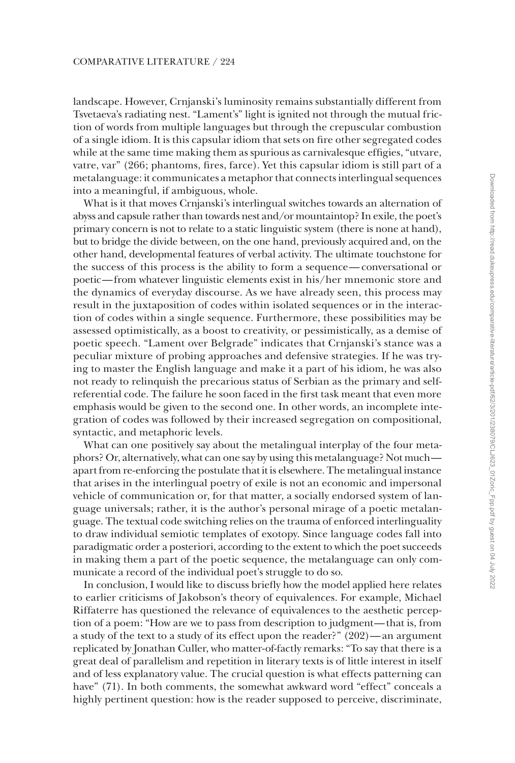landscape. However, Crnjanski's luminosity remains substantially different from Tsvetaeva's radiating nest. "Lament's" light is ignited not through the mutual friction of words from multiple languages but through the crepuscular combustion of a single idiom. It is this capsular idiom that sets on fire other segregated codes while at the same time making them as spurious as carnivalesque effigies, "utvare, vatre, var" (266; phantoms, fires, farce). Yet this capsular idiom is still part of a metalanguage: it communicates a metaphor that connects interlingual sequences into a meaningful, if ambiguous, whole.

What is it that moves Crnjanski's interlingual switches towards an alternation of abyss and capsule rather than towards nest and/or mountaintop? In exile, the poet's primary concern is not to relate to a static linguistic system (there is none at hand), but to bridge the divide between, on the one hand, previously acquired and, on the other hand, developmental features of verbal activity. The ultimate touchstone for the success of this process is the ability to form a sequence—conversational or poetic—from whatever linguistic elements exist in his/her mnemonic store and the dynamics of everyday discourse. As we have already seen, this process may result in the juxtaposition of codes within isolated sequences or in the interaction of codes within a single sequence. Furthermore, these possibilities may be assessed optimistically, as a boost to creativity, or pessimistically, as a demise of poetic speech. "Lament over Belgrade" indicates that Crnjanski's stance was a peculiar mixture of probing approaches and defensive strategies. If he was trying to master the English language and make it a part of his idiom, he was also not ready to relinquish the precarious status of Serbian as the primary and selfreferential code. The failure he soon faced in the first task meant that even more emphasis would be given to the second one. In other words, an incomplete integration of codes was followed by their increased segregation on compositional, syntactic, and metaphoric levels.

What can one positively say about the metalingual interplay of the four metaphors? Or, alternatively, what can one say by using this metalanguage? Not much apart from re-enforcing the postulate that it is elsewhere. The metalingual instance that arises in the interlingual poetry of exile is not an economic and impersonal vehicle of communication or, for that matter, a socially endorsed system of language universals; rather, it is the author's personal mirage of a poetic metalanguage. The textual code switching relies on the trauma of enforced interlinguality to draw individual semiotic templates of exotopy. Since language codes fall into paradigmatic order a posteriori, according to the extent to which the poet succeeds in making them a part of the poetic sequence, the metalanguage can only communicate a record of the individual poet's struggle to do so.

In conclusion, I would like to discuss briefly how the model applied here relates to earlier criticisms of Jakobson's theory of equivalences. For example, Michael Riffaterre has questioned the relevance of equivalences to the aesthetic perception of a poem: "How are we to pass from description to judgment—that is, from a study of the text to a study of its effect upon the reader?" (202)—an argument replicated by Jonathan Culler, who matter-of-factly remarks: "To say that there is a great deal of parallelism and repetition in literary texts is of little interest in itself and of less explanatory value. The crucial question is what effects patterning can have" (71). In both comments, the somewhat awkward word "effect" conceals a highly pertinent question: how is the reader supposed to perceive, discriminate,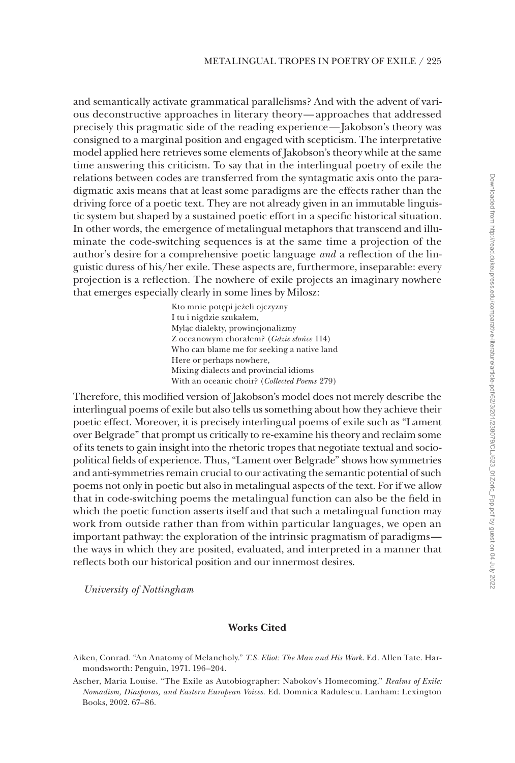and semantically activate grammatical parallelisms? And with the advent of various deconstructive approaches in literary theory—approaches that addressed precisely this pragmatic side of the reading experience—Jakobson's theory was consigned to a marginal position and engaged with scepticism. The interpretative model applied here retrieves some elements of Jakobson's theory while at the same time answering this criticism. To say that in the interlingual poetry of exile the relations between codes are transferred from the syntagmatic axis onto the paradigmatic axis means that at least some paradigms are the effects rather than the driving force of a poetic text. They are not already given in an immutable linguistic system but shaped by a sustained poetic effort in a specific historical situation. In other words, the emergence of metalingual metaphors that transcend and illuminate the code-switching sequences is at the same time a projection of the author's desire for a comprehensive poetic language *and* a reflection of the linguistic duress of his/her exile. These aspects are, furthermore, inseparable: every projection is a reflection. The nowhere of exile projects an imaginary nowhere that emerges especially clearly in some lines by Milosz:

> Kto mnie potępi jeżeli ojczyzny I tu i nigdzie szukałem, Myla˛c dialekty, prowincjonalizmy Z oceanowym chorałem? (*Gdzie słon´ce* 114) Who can blame me for seeking a native land Here or perhaps nowhere, Mixing dialects and provincial idioms With an oceanic choir? (*Collected Poems* 279)

Therefore, this modified version of Jakobson's model does not merely describe the interlingual poems of exile but also tells us something about how they achieve their poetic effect. Moreover, it is precisely interlingual poems of exile such as "Lament over Belgrade" that prompt us critically to re-examine his theory and reclaim some of its tenets to gain insight into the rhetoric tropes that negotiate textual and sociopolitical fields of experience. Thus, "Lament over Belgrade" shows how symmetries and anti-symmetries remain crucial to our activating the semantic potential of such poems not only in poetic but also in metalingual aspects of the text. For if we allow that in code-switching poems the metalingual function can also be the field in which the poetic function asserts itself and that such a metalingual function may work from outside rather than from within particular languages, we open an important pathway: the exploration of the intrinsic pragmatism of paradigms the ways in which they are posited, evaluated, and interpreted in a manner that reflects both our historical position and our innermost desires.

*University of Nottingham*

# **Works Cited**

Aiken, Conrad. "An Anatomy of Melancholy." *T.S. Eliot: The Man and His Work*. Ed. Allen Tate. Harmondsworth: Penguin, 1971. 196–204.

Ascher, Maria Louise. "The Exile as Autobiographer: Nabokov's Homecoming." *Realms of Exile: Nomadism, Diasporas, and Eastern European Voices*. Ed. Domnica Radulescu. Lanham: Lexington Books, 2002. 67–86.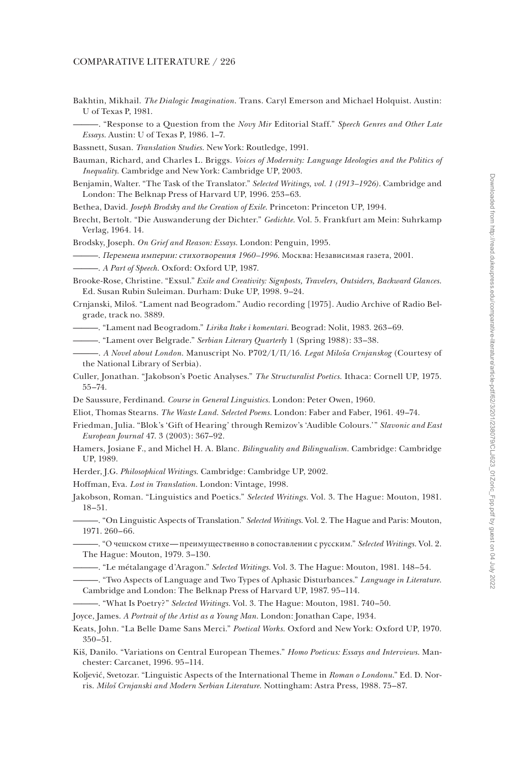Bakhtin, Mikhail. *The Dialogic Imagination*. Trans. Caryl Emerson and Michael Holquist. Austin: U of Texas P, 1981.

———. "Response to a Question from the *Novy Mir* Editorial Staff." *Speech Genres and Other Late Essays*. Austin: U of Texas P, 1986. 1–7.

Bassnett, Susan. *Translation Studies*. New York: Routledge, 1991.

- Bauman, Richard, and Charles L. Briggs. *Voices of Modernity: Language Ideologies and the Politics of Inequality*. Cambridge and New York: Cambridge UP, 2003.
- Benjamin, Walter. "The Task of the Translator." *Selected Writings, vol. 1 (1913–1926)*. Cambridge and London: The Belknap Press of Harvard UP, 1996. 253–63.

Bethea, David. *Joseph Brodsky and the Creation of Exile*. Princeton: Princeton UP, 1994.

Brecht, Bertolt. "Die Auswanderung der Dichter." *Gedichte*. Vol. 5. Frankfurt am Mein: Suhrkamp Verlag, 1964. 14.

Brodsky, Joseph. *On Grief and Reason: Essays*. London: Penguin, 1995.

———. Перемена империи: стихотворения *1960–1996*. Москва: Независимая газета, 2001.

———. *A Part of Speech*. Oxford: Oxford UP, 1987.

Brooke-Rose, Christine. "Exsul." *Exile and Creativity: Signposts, Travelers, Outsiders, Backward Glances*. Ed. Susan Rubin Suleiman. Durham: Duke UP, 1998. 9–24.

Crnjanski, Miloš. "Lament nad Beogradom." Audio recording [1975]. Audio Archive of Radio Belgrade, track no. 3889.

———. "Lament nad Beogradom." *Lirika Itake i komentari*. Beograd: Nolit, 1983. 263–69.

- ———. "Lament over Belgrade." *Serbian Literary Quarterly* 1 (Spring 1988): 33–38.
- ———. *A Novel about London*. Manuscript No. P702/I/П/1б. *Legat Miloša Crnjanskog* (Courtesy of the National Library of Serbia).
- Culler, Jonathan. "Jakobson's Poetic Analyses." *The Structuralist Poetics*. Ithaca: Cornell UP, 1975. 55–74.
- De Saussure, Ferdinand. *Course in General Linguistics*. London: Peter Owen, 1960.
- Eliot, Thomas Stearns. *The Waste Land*. *Selected Poems*. London: Faber and Faber, 1961. 49–74.
- Friedman, Julia. "Blok's 'Gift of Hearing' through Remizov's 'Audible Colours.'" *Slavonic and East European Journal* 47. 3 (2003): 367–92.
- Hamers, Josiane F., and Michel H. A. Blanc. *Bilinguality and Bilingualism*. Cambridge: Cambridge UP, 1989.
- Herder, J.G. *Philosophical Writings*. Cambridge: Cambridge UP, 2002.
- Hoffman, Eva. *Lost in Translation*. London: Vintage, 1998.
- Jakobson, Roman. "Linguistics and Poetics." *Selected Writings*. Vol. 3. The Hague: Mouton, 1981. 18–51.

———. "On Linguistic Aspects of Translation." *Selected Writings*. Vol. 2. The Hague and Paris: Mouton, 1971. 260–66.

———. "О чешском стихе—преимущественно в сопоставлении с русским." *Selected Writings*. Vol. 2. The Hague: Mouton, 1979. 3–130.

———. "Le métalangage d'Aragon." *Selected Writings*. Vol. 3. The Hague: Mouton, 1981. 148–54.

- ———. "Two Aspects of Language and Two Types of Aphasic Disturbances." *Language in Literature*. Cambridge and London: The Belknap Press of Harvard UP, 1987. 95–114.
- ———. "What Is Poetry?" *Selected Writings*. Vol. 3. The Hague: Mouton, 1981. 740–50.
- Joyce, James. *A Portrait of the Artist as a Young Man*. London: Jonathan Cape, 1934.
- Keats, John. "La Belle Dame Sans Merci." *Poetical Works*. Oxford and New York: Oxford UP, 1970. 350–51.
- Kiš, Danilo. "Variations on Central European Themes." *Homo Poeticus: Essays and Interviews*. Manchester: Carcanet, 1996. 95–114.
- Koljevic´, Svetozar. "Linguistic Aspects of the International Theme in *Roman o Londonu*." Ed. D. Norris. *Miloš Crnjanski and Modern Serbian Literature*. Nottingham: Astra Press, 1988. 75–87.